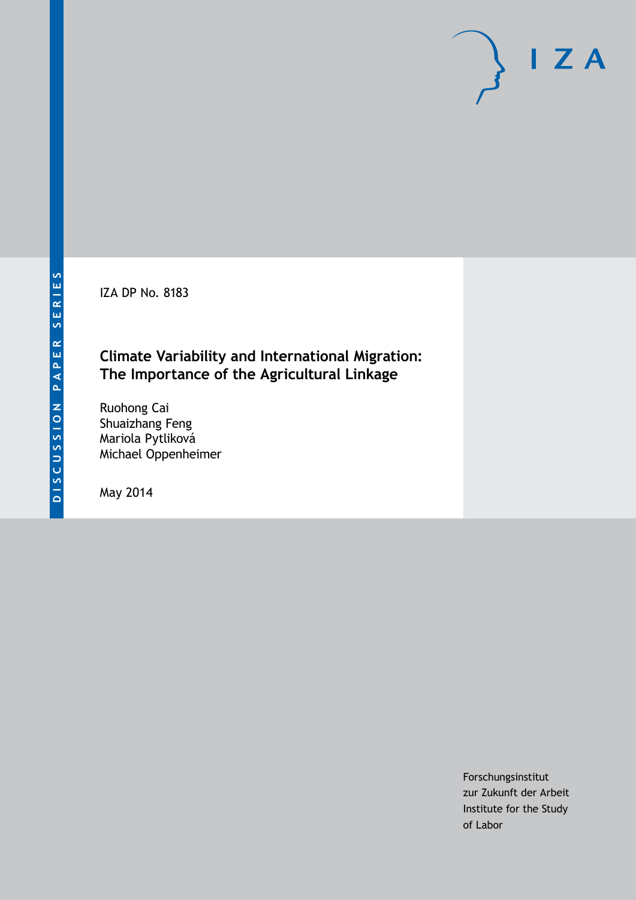IZA DP No. 8183

# **Climate Variability and International Migration: The Importance of the Agricultural Linkage**

Ruohong Cai Shuaizhang Feng Mariola Pytliková Michael Oppenheimer

May 2014

Forschungsinstitut zur Zukunft der Arbeit Institute for the Study of Labor

 $I Z A$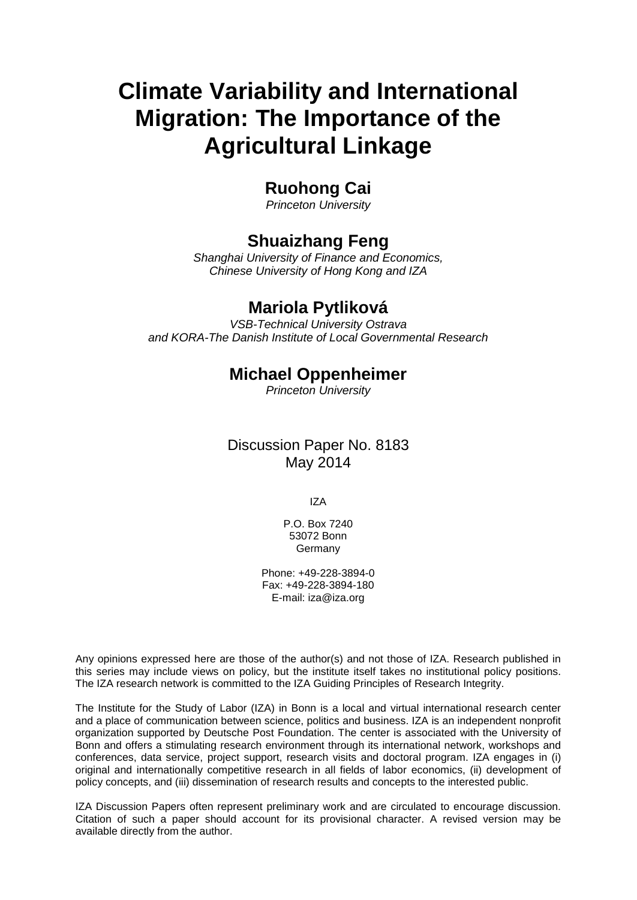# **Climate Variability and International Migration: The Importance of the Agricultural Linkage**

# **Ruohong Cai**

*Princeton University*

# **Shuaizhang Feng**

*Shanghai University of Finance and Economics, Chinese University of Hong Kong and IZA*

# **Mariola Pytliková**

*VSB-Technical University Ostrava and KORA-The Danish Institute of Local Governmental Research*

# **Michael Oppenheimer**

*Princeton University*

Discussion Paper No. 8183 May 2014

IZA

P.O. Box 7240 53072 Bonn Germany

Phone: +49-228-3894-0 Fax: +49-228-3894-180 E-mail: [iza@iza.org](mailto:iza@iza.org)

Any opinions expressed here are those of the author(s) and not those of IZA. Research published in this series may include views on policy, but the institute itself takes no institutional policy positions. The IZA research network is committed to the IZA Guiding Principles of Research Integrity.

The Institute for the Study of Labor (IZA) in Bonn is a local and virtual international research center and a place of communication between science, politics and business. IZA is an independent nonprofit organization supported by Deutsche Post Foundation. The center is associated with the University of Bonn and offers a stimulating research environment through its international network, workshops and conferences, data service, project support, research visits and doctoral program. IZA engages in (i) original and internationally competitive research in all fields of labor economics, (ii) development of policy concepts, and (iii) dissemination of research results and concepts to the interested public.

IZA Discussion Papers often represent preliminary work and are circulated to encourage discussion. Citation of such a paper should account for its provisional character. A revised version may be available directly from the author.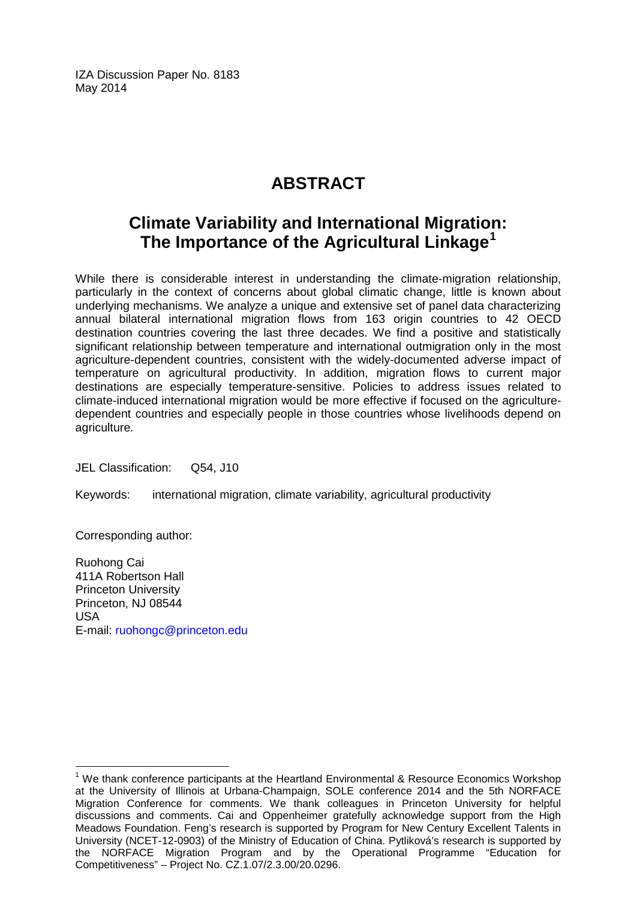IZA Discussion Paper No. 8183 May 2014

# **ABSTRACT**

# **Climate Variability and International Migration: The Importance of the Agricultural Linkage[1](#page-2-0)**

While there is considerable interest in understanding the climate-migration relationship, particularly in the context of concerns about global climatic change, little is known about underlying mechanisms. We analyze a unique and extensive set of panel data characterizing annual bilateral international migration flows from 163 origin countries to 42 OECD destination countries covering the last three decades. We find a positive and statistically significant relationship between temperature and international outmigration only in the most agriculture-dependent countries, consistent with the widely-documented adverse impact of temperature on agricultural productivity. In addition, migration flows to current major destinations are especially temperature-sensitive. Policies to address issues related to climate-induced international migration would be more effective if focused on the agriculturedependent countries and especially people in those countries whose livelihoods depend on agriculture.

JEL Classification: Q54, J10

Keywords: international migration, climate variability, agricultural productivity

Corresponding author:

Ruohong Cai 411A Robertson Hall Princeton University Princeton, NJ 08544 USA E-mail: [ruohongc@princeton.edu](mailto:ruohongc@princeton.edu)

<span id="page-2-0"></span><sup>&</sup>lt;sup>1</sup> We thank conference participants at the Heartland Environmental & Resource Economics Workshop at the University of Illinois at Urbana-Champaign, SOLE conference 2014 and the 5th NORFACE Migration Conference for comments. We thank colleagues in Princeton University for helpful discussions and comments. Cai and Oppenheimer gratefully acknowledge support from the High Meadows Foundation. Feng's research is supported by Program for New Century Excellent Talents in University (NCET-12-0903) of the Ministry of Education of China. Pytliková's research is supported by the NORFACE Migration Program and by the Operational Programme "Education for Competitiveness" – Project No. CZ.1.07/2.3.00/20.0296.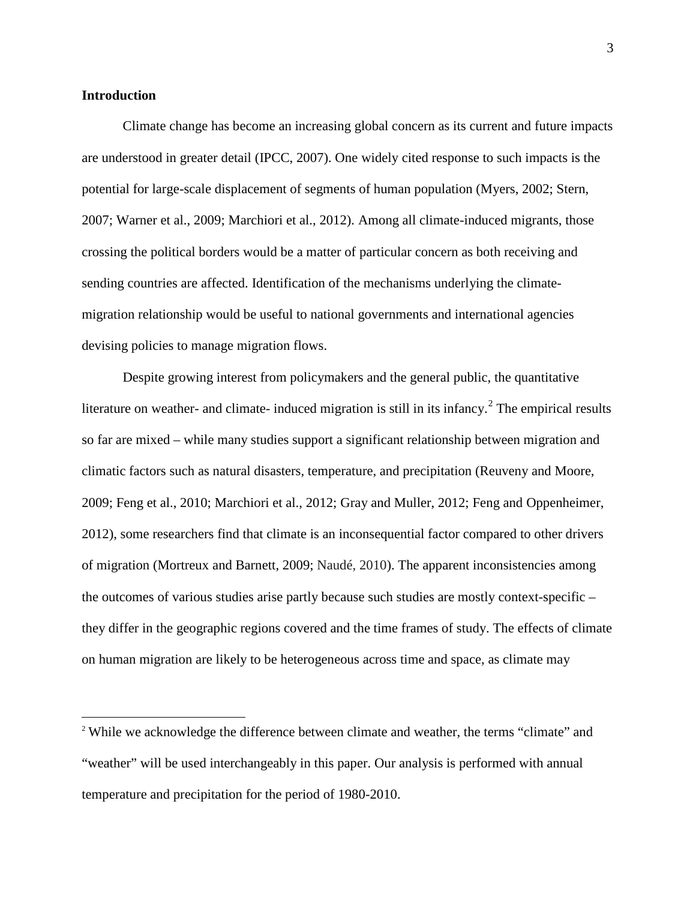#### **Introduction**

Climate change has become an increasing global concern as its current and future impacts are understood in greater detail (IPCC, 2007). One widely cited response to such impacts is the potential for large-scale displacement of segments of human population (Myers, 2002; Stern, 2007; Warner et al., 2009; Marchiori et al., 2012). Among all climate-induced migrants, those crossing the political borders would be a matter of particular concern as both receiving and sending countries are affected. Identification of the mechanisms underlying the climatemigration relationship would be useful to national governments and international agencies devising policies to manage migration flows.

Despite growing interest from policymakers and the general public, the quantitative literature on weather- and climate- induced migration is still in its infancy.<sup>2</sup> The empirical results so far are mixed – while many studies support a significant relationship between migration and climatic factors such as natural disasters, temperature, and precipitation (Reuveny and Moore, 2009; Feng et al., 2010; Marchiori et al., 2012; Gray and Muller, 2012; Feng and Oppenheimer, 2012), some researchers find that climate is an inconsequential factor compared to other drivers of migration (Mortreux and Barnett, 2009; Naudé, 2010). The apparent inconsistencies among the outcomes of various studies arise partly because such studies are mostly context-specific – they differ in the geographic regions covered and the time frames of study. The effects of climate on human migration are likely to be heterogeneous across time and space, as climate may

<span id="page-3-0"></span> <sup>2</sup> While we acknowledge the difference between climate and weather, the terms "climate" and "weather" will be used interchangeably in this paper. Our analysis is performed with annual temperature and precipitation for the period of 1980-2010.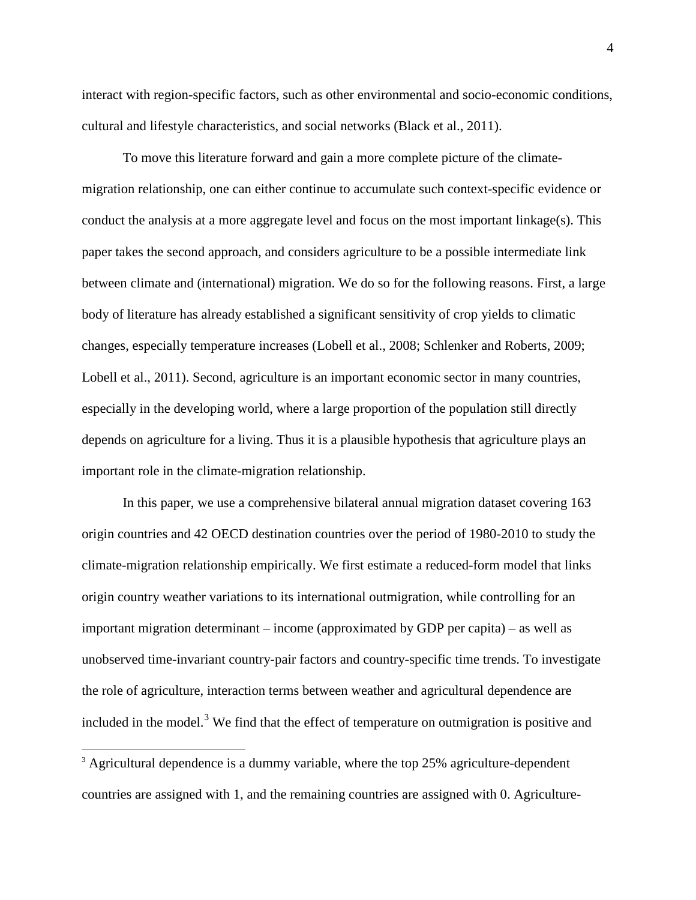interact with region-specific factors, such as other environmental and socio-economic conditions, cultural and lifestyle characteristics, and social networks (Black et al., 2011).

To move this literature forward and gain a more complete picture of the climatemigration relationship, one can either continue to accumulate such context-specific evidence or conduct the analysis at a more aggregate level and focus on the most important linkage(s). This paper takes the second approach, and considers agriculture to be a possible intermediate link between climate and (international) migration. We do so for the following reasons. First, a large body of literature has already established a significant sensitivity of crop yields to climatic changes, especially temperature increases (Lobell et al., 2008; Schlenker and Roberts, 2009; Lobell et al., 2011). Second, agriculture is an important economic sector in many countries, especially in the developing world, where a large proportion of the population still directly depends on agriculture for a living. Thus it is a plausible hypothesis that agriculture plays an important role in the climate-migration relationship.

In this paper, we use a comprehensive bilateral annual migration dataset covering 163 origin countries and 42 OECD destination countries over the period of 1980-2010 to study the climate-migration relationship empirically. We first estimate a reduced-form model that links origin country weather variations to its international outmigration, while controlling for an important migration determinant – income (approximated by GDP per capita) – as well as unobserved time-invariant country-pair factors and country-specific time trends. To investigate the role of agriculture, interaction terms between weather and agricultural dependence are included in the model.<sup>[3](#page-3-0)</sup> We find that the effect of temperature on outmigration is positive and

<span id="page-4-0"></span><sup>&</sup>lt;sup>3</sup> Agricultural dependence is a dummy variable, where the top 25% agriculture-dependent countries are assigned with 1, and the remaining countries are assigned with 0. Agriculture-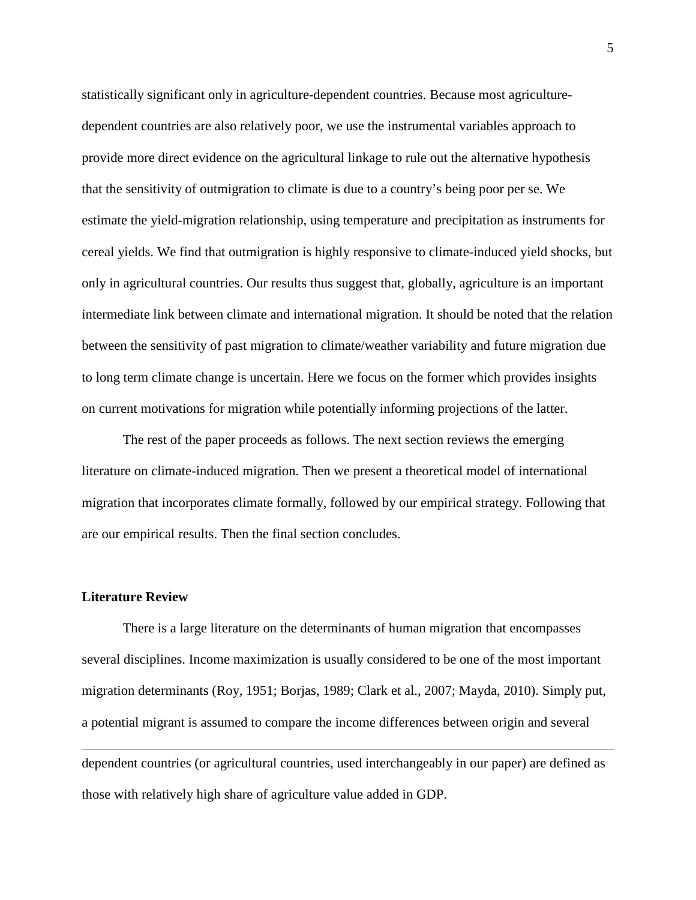statistically significant only in agriculture-dependent countries. Because most agriculturedependent countries are also relatively poor, we use the instrumental variables approach to provide more direct evidence on the agricultural linkage to rule out the alternative hypothesis that the sensitivity of outmigration to climate is due to a country's being poor per se. We estimate the yield-migration relationship, using temperature and precipitation as instruments for cereal yields. We find that outmigration is highly responsive to climate-induced yield shocks, but only in agricultural countries. Our results thus suggest that, globally, agriculture is an important intermediate link between climate and international migration. It should be noted that the relation between the sensitivity of past migration to climate/weather variability and future migration due to long term climate change is uncertain. Here we focus on the former which provides insights on current motivations for migration while potentially informing projections of the latter.

The rest of the paper proceeds as follows. The next section reviews the emerging literature on climate-induced migration. Then we present a theoretical model of international migration that incorporates climate formally, followed by our empirical strategy. Following that are our empirical results. Then the final section concludes.

#### **Literature Review**

 $\overline{a}$ 

There is a large literature on the determinants of human migration that encompasses several disciplines. Income maximization is usually considered to be one of the most important migration determinants (Roy, 1951; Borjas, 1989; Clark et al., 2007; Mayda, 2010). Simply put, a potential migrant is assumed to compare the income differences between origin and several

dependent countries (or agricultural countries, used interchangeably in our paper) are defined as those with relatively high share of agriculture value added in GDP.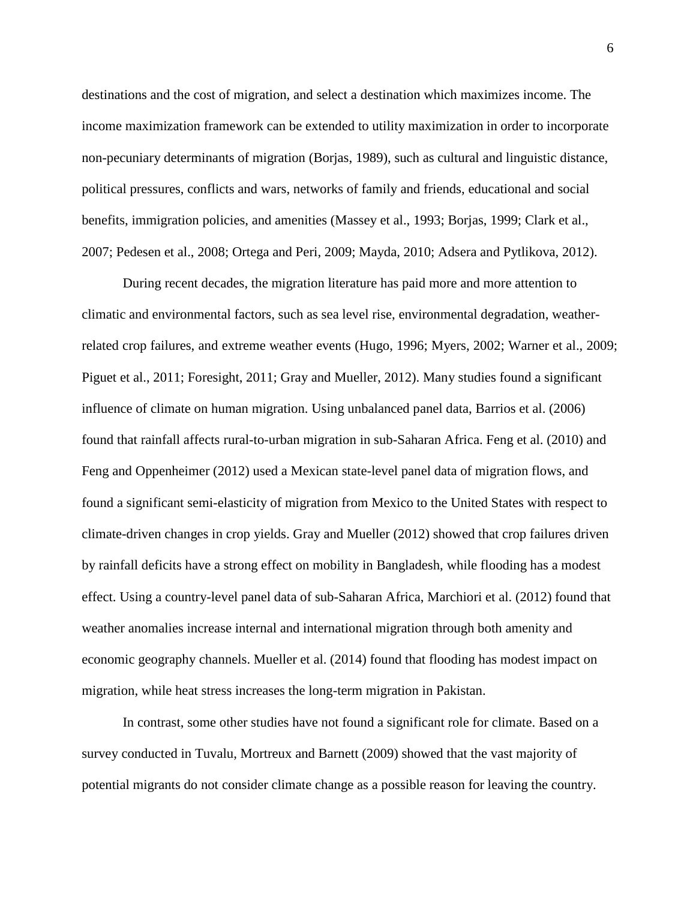destinations and the cost of migration, and select a destination which maximizes income. The income maximization framework can be extended to utility maximization in order to incorporate non-pecuniary determinants of migration (Borjas, 1989), such as cultural and linguistic distance, political pressures, conflicts and wars, networks of family and friends, educational and social benefits, immigration policies, and amenities (Massey et al., 1993; Borjas, 1999; Clark et al., 2007; Pedesen et al., 2008; Ortega and Peri, 2009; Mayda, 2010; Adsera and Pytlikova, 2012).

During recent decades, the migration literature has paid more and more attention to climatic and environmental factors, such as sea level rise, environmental degradation, weatherrelated crop failures, and extreme weather events (Hugo, 1996; Myers, 2002; Warner et al., 2009; Piguet et al., 2011; Foresight, 2011; Gray and Mueller, 2012). Many studies found a significant influence of climate on human migration. Using unbalanced panel data, Barrios et al. (2006) found that rainfall affects rural-to-urban migration in sub-Saharan Africa. Feng et al. (2010) and Feng and Oppenheimer (2012) used a Mexican state-level panel data of migration flows, and found a significant semi-elasticity of migration from Mexico to the United States with respect to climate-driven changes in crop yields. Gray and Mueller (2012) showed that crop failures driven by rainfall deficits have a strong effect on mobility in Bangladesh, while flooding has a modest effect. Using a country-level panel data of sub-Saharan Africa, Marchiori et al. (2012) found that weather anomalies increase internal and international migration through both amenity and economic geography channels. Mueller et al. (2014) found that flooding has modest impact on migration, while heat stress increases the long-term migration in Pakistan.

In contrast, some other studies have not found a significant role for climate. Based on a survey conducted in Tuvalu, Mortreux and Barnett (2009) showed that the vast majority of potential migrants do not consider climate change as a possible reason for leaving the country.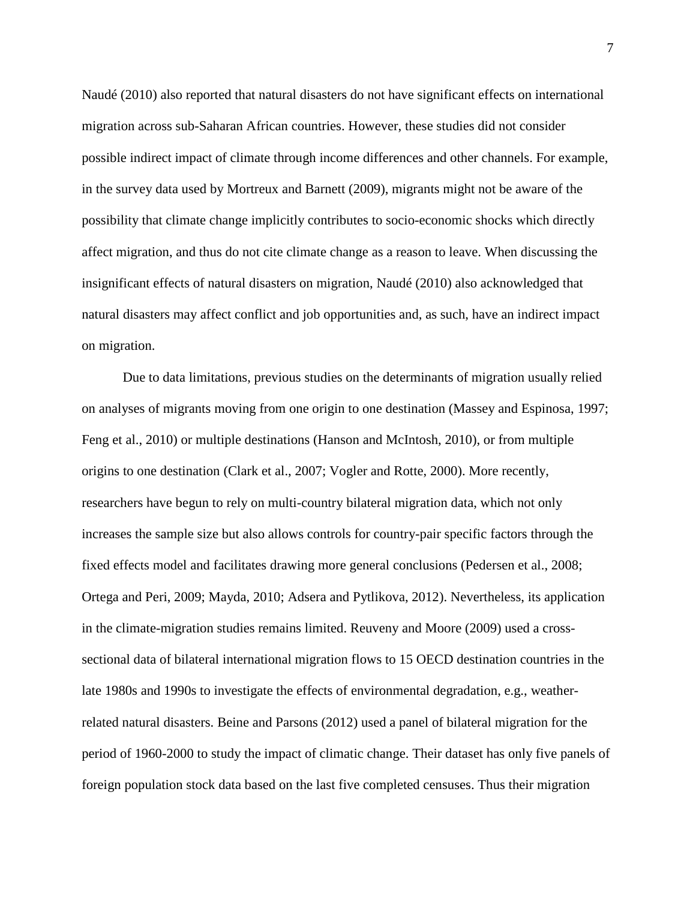Naudé (2010) also reported that natural disasters do not have significant effects on international migration across sub-Saharan African countries. However, these studies did not consider possible indirect impact of climate through income differences and other channels. For example, in the survey data used by Mortreux and Barnett (2009), migrants might not be aware of the possibility that climate change implicitly contributes to socio-economic shocks which directly affect migration, and thus do not cite climate change as a reason to leave. When discussing the insignificant effects of natural disasters on migration, Naudé (2010) also acknowledged that natural disasters may affect conflict and job opportunities and, as such, have an indirect impact on migration.

Due to data limitations, previous studies on the determinants of migration usually relied on analyses of migrants moving from one origin to one destination (Massey and Espinosa, 1997; Feng et al., 2010) or multiple destinations (Hanson and McIntosh, 2010), or from multiple origins to one destination (Clark et al., 2007; Vogler and Rotte, 2000). More recently, researchers have begun to rely on multi-country bilateral migration data, which not only increases the sample size but also allows controls for country-pair specific factors through the fixed effects model and facilitates drawing more general conclusions (Pedersen et al., 2008; Ortega and Peri, 2009; Mayda, 2010; Adsera and Pytlikova, 2012). Nevertheless, its application in the climate-migration studies remains limited. Reuveny and Moore (2009) used a crosssectional data of bilateral international migration flows to 15 OECD destination countries in the late 1980s and 1990s to investigate the effects of environmental degradation, e.g., weatherrelated natural disasters. Beine and Parsons (2012) used a panel of bilateral migration for the period of 1960-2000 to study the impact of climatic change. Their dataset has only five panels of foreign population stock data based on the last five completed censuses. Thus their migration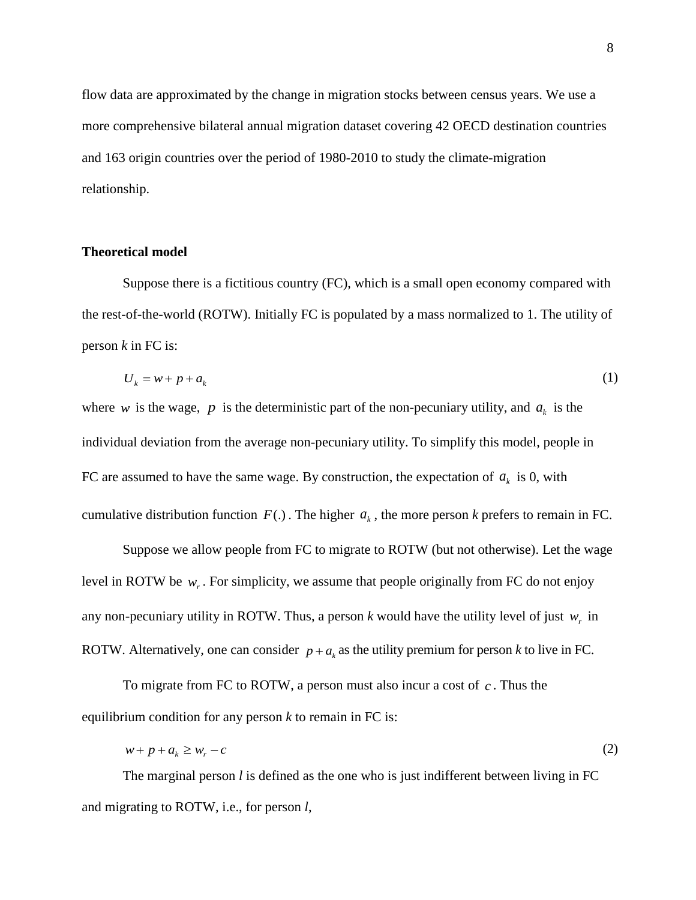flow data are approximated by the change in migration stocks between census years. We use a more comprehensive bilateral annual migration dataset covering 42 OECD destination countries and 163 origin countries over the period of 1980-2010 to study the climate-migration relationship.

### **Theoretical model**

Suppose there is a fictitious country (FC), which is a small open economy compared with the rest-of-the-world (ROTW). Initially FC is populated by a mass normalized to 1. The utility of person *k* in FC is:

$$
U_k = w + p + a_k \tag{1}
$$

where *w* is the wage, *p* is the deterministic part of the non-pecuniary utility, and  $a_k$  is the individual deviation from the average non-pecuniary utility. To simplify this model, people in FC are assumed to have the same wage. By construction, the expectation of  $a_k$  is 0, with cumulative distribution function  $F(.)$ . The higher  $a_k$ , the more person  $k$  prefers to remain in FC.

Suppose we allow people from FC to migrate to ROTW (but not otherwise). Let the wage level in ROTW be  $w_r$ . For simplicity, we assume that people originally from FC do not enjoy any non-pecuniary utility in ROTW. Thus, a person  $k$  would have the utility level of just  $w_r$  in ROTW. Alternatively, one can consider  $p + a_k$  as the utility premium for person *k* to live in FC.

To migrate from FC to ROTW, a person must also incur a cost of *c* . Thus the equilibrium condition for any person *k* to remain in FC is:

$$
w + p + a_k \ge w_r - c \tag{2}
$$

The marginal person  $l$  is defined as the one who is just indifferent between living in FC and migrating to ROTW, i.e., for person *l*,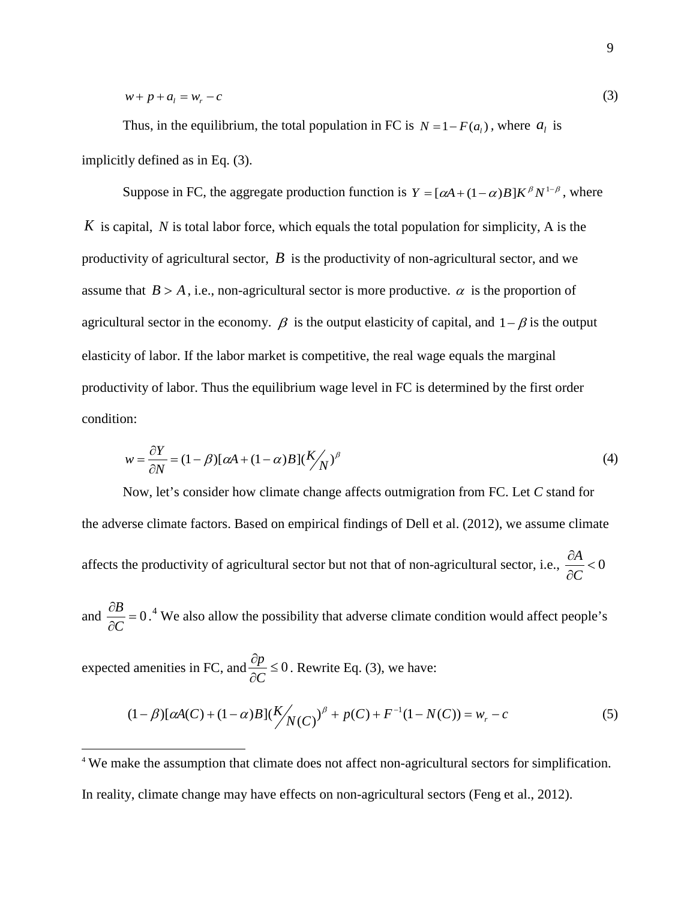$w + p + a_1 = w_r - c$  (3)

Thus, in the equilibrium, the total population in FC is  $N = 1 - F(a_i)$ , where  $a_i$  is implicitly defined as in Eq. (3).

Suppose in FC, the aggregate production function is  $Y = [\alpha A + (1 - \alpha)B]K^{\beta}N^{1-\beta}$ , where *K* is capital, *N* is total labor force, which equals the total population for simplicity, A is the productivity of agricultural sector, *B* is the productivity of non-agricultural sector, and we assume that  $B > A$ , i.e., non-agricultural sector is more productive.  $\alpha$  is the proportion of agricultural sector in the economy.  $\beta$  is the output elasticity of capital, and  $1-\beta$  is the output elasticity of labor. If the labor market is competitive, the real wage equals the marginal productivity of labor. Thus the equilibrium wage level in FC is determined by the first order condition:

$$
w = \frac{\partial Y}{\partial N} = (1 - \beta)[\alpha A + (1 - \alpha)B](\frac{K}{N})^{\beta}
$$
\n(4)

<span id="page-9-0"></span>Now, let's consider how climate change affects outmigration from FC. Let *C* stand for the adverse climate factors. Based on empirical findings of Dell et al. (2012), we assume climate affects the productivity of agricultural sector but not that of non-agricultural sector, i.e.,  $\frac{dX}{d\sigma}$  < 0 ∂ ∂ *C A*

and  $\frac{\partial D}{\partial \overline{\partial}} = 0$ ∂ ∂ *C*  $\frac{B}{\epsilon}$  = 0.<sup>[4](#page-4-0)</sup> We also allow the possibility that adverse climate condition would affect people's

expected amenities in FC, and  $\frac{dp}{2\pi} \leq 0$ ∂ ∂ *C*  $\frac{p}{q} \le 0$ . Rewrite Eq. (3), we have:

$$
(1 - \beta)[\alpha A(C) + (1 - \alpha)B](\frac{K}{N(C)})^{\beta} + p(C) + F^{-1}(1 - N(C)) = w_r - c
$$
\n(5)

<sup>&</sup>lt;sup>4</sup> We make the assumption that climate does not affect non-agricultural sectors for simplification. In reality, climate change may have effects on non-agricultural sectors (Feng et al., 2012).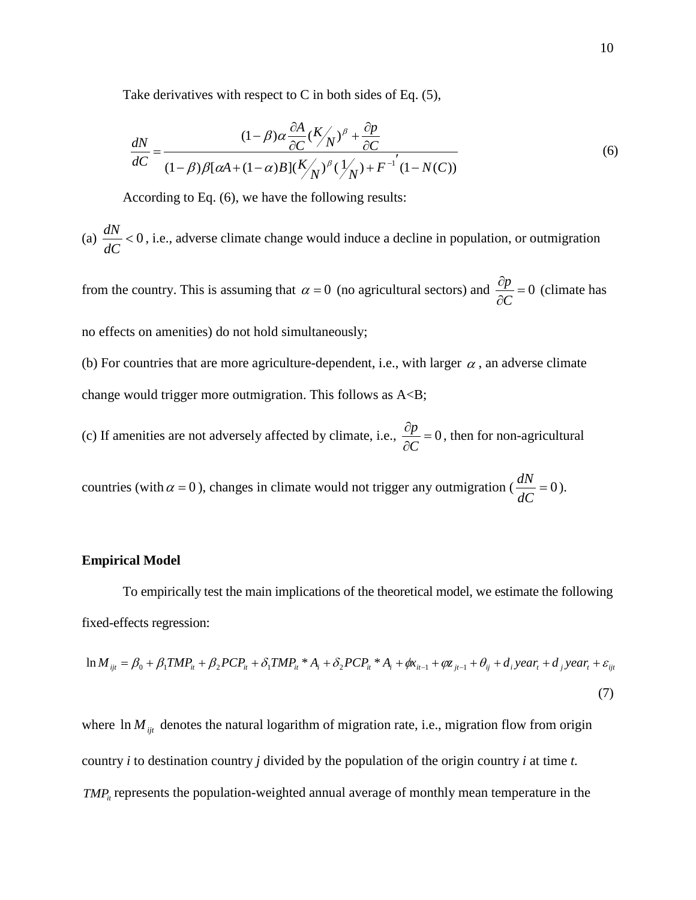Take derivatives with respect to  $C$  in both sides of Eq.  $(5)$ ,

$$
\frac{dN}{dC} = \frac{(1-\beta)\alpha \frac{\partial A}{\partial C} (K_{/N})^{\beta} + \frac{\partial p}{\partial C}}{(1-\beta)\beta[\alpha A + (1-\alpha)B] (K_{/N})^{\beta} (\frac{1}{N}) + F^{-1} (1-N(C))}
$$
(6)

According to Eq. (6), we have the following results:

(a)  $\frac{u_1}{10} < 0$ *dC*  $\frac{dN}{dS}$  < 0, i.e., adverse climate change would induce a decline in population, or outmigration

from the country. This is assuming that  $\alpha = 0$  (no agricultural sectors) and  $\frac{dp}{\gamma \alpha} = 0$ ∂ ∂ *C*  $\frac{p}{q}$  = 0 (climate has

no effects on amenities) do not hold simultaneously;

(b) For countries that are more agriculture-dependent, i.e., with larger  $\alpha$ , an adverse climate change would trigger more outmigration. This follows as A<B;

(c) If amenities are not adversely affected by climate, i.e.,  $\frac{op}{\sim} = 0$ ∂ ∂ *C*  $\frac{p}{q} = 0$ , then for non-agricultural

countries (with  $\alpha = 0$ ), changes in climate would not trigger any outmigration ( $\frac{d\alpha}{d\alpha} = 0$ ) *dC*  $\frac{dN}{dS} = 0$ ).

#### **Empirical Model**

To empirically test the main implications of the theoretical model, we estimate the following fixed-effects regression:

$$
\ln M_{ijt} = \beta_0 + \beta_1 T M P_{it} + \beta_2 P C P_{it} + \delta_1 T M P_{it}^* * A_i + \delta_2 P C P_{it}^* * A_i + \phi x_{it-1} + \phi z_{jt-1} + \theta_{ij} + d_i y e a r_t + d_j y e a r_t + \varepsilon_{ijt}
$$
\n(7)

where  $\ln M_{ijt}$  denotes the natural logarithm of migration rate, i.e., migration flow from origin country *i* to destination country *j* divided by the population of the origin country *i* at time *t. TMP<sub>it</sub>* represents the population-weighted annual average of monthly mean temperature in the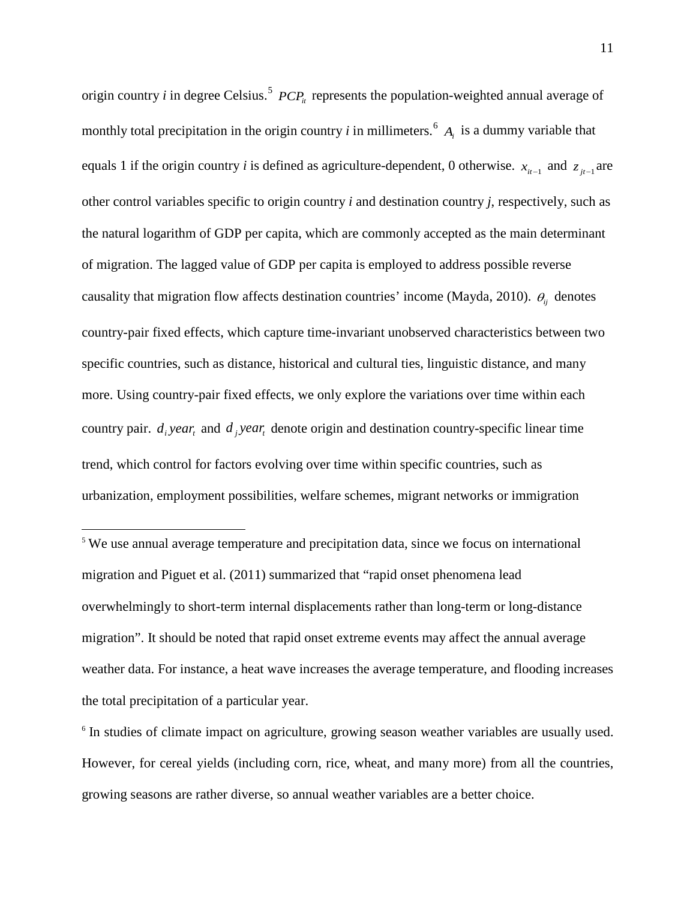origin country *i* in degree Celsius.<sup>[5](#page-9-0)</sup>  $PCP_i$  represents the population-weighted annual average of monthly total precipitation in the origin country  $i$  in millimeters.<sup>[6](#page-11-0)</sup>  $A_i$  is a dummy variable that equals 1 if the origin country *i* is defined as agriculture-dependent, 0 otherwise.  $x_{i-1}$  and  $z_{i-1}$  are other control variables specific to origin country *i* and destination country *j*, respectively, such as the natural logarithm of GDP per capita, which are commonly accepted as the main determinant of migration. The lagged value of GDP per capita is employed to address possible reverse causality that migration flow affects destination countries' income (Mayda, 2010).  $\theta_{ii}$  denotes country-pair fixed effects, which capture time-invariant unobserved characteristics between two specific countries, such as distance, historical and cultural ties, linguistic distance, and many more. Using country-pair fixed effects, we only explore the variations over time within each country pair.  $d_i$  *year*, and  $d_j$  *year*, denote origin and destination country-specific linear time trend, which control for factors evolving over time within specific countries, such as urbanization, employment possibilities, welfare schemes, migrant networks or immigration

<sup>&</sup>lt;sup>5</sup> We use annual average temperature and precipitation data, since we focus on international migration and Piguet et al. (2011) summarized that "rapid onset phenomena lead overwhelmingly to short-term internal displacements rather than long-term or long-distance migration". It should be noted that rapid onset extreme events may affect the annual average weather data. For instance, a heat wave increases the average temperature, and flooding increases the total precipitation of a particular year.

<span id="page-11-0"></span><sup>&</sup>lt;sup>6</sup> In studies of climate impact on agriculture, growing season weather variables are usually used. However, for cereal yields (including corn, rice, wheat, and many more) from all the countries, growing seasons are rather diverse, so annual weather variables are a better choice.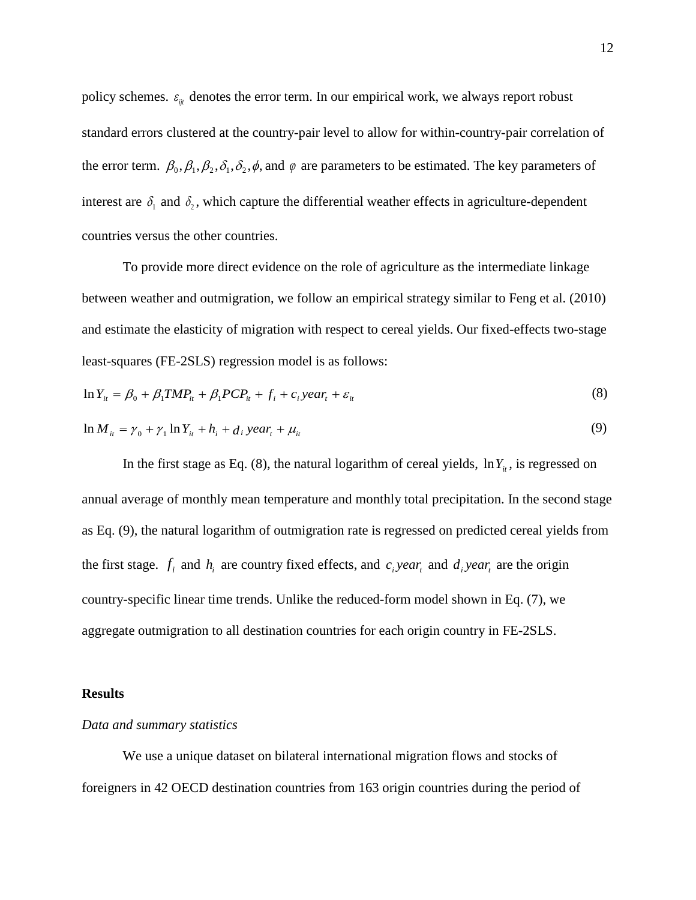policy schemes.  $\varepsilon_{ijt}$  denotes the error term. In our empirical work, we always report robust standard errors clustered at the country-pair level to allow for within-country-pair correlation of the error term.  $\beta_0$ ,  $\beta_1$ ,  $\beta_2$ ,  $\delta_3$ ,  $\phi$ , and  $\phi$  are parameters to be estimated. The key parameters of interest are  $\delta_1$  and  $\delta_2$ , which capture the differential weather effects in agriculture-dependent countries versus the other countries.

To provide more direct evidence on the role of agriculture as the intermediate linkage between weather and outmigration, we follow an empirical strategy similar to Feng et al. (2010) and estimate the elasticity of migration with respect to cereal yields. Our fixed-effects two-stage least-squares (FE-2SLS) regression model is as follows:

$$
\ln Y_{it} = \beta_0 + \beta_1 T M P_{it} + \beta_1 P C P_{it} + f_i + c_i \text{ year}_t + \varepsilon_{it}
$$
\n
$$
\tag{8}
$$

$$
\ln M_{it} = \gamma_0 + \gamma_1 \ln Y_{it} + h_i + d_i \text{ year}_t + \mu_{it}
$$
\n
$$
\tag{9}
$$

In the first stage as Eq. (8), the natural logarithm of cereal yields,  $\ln Y_{it}$ , is regressed on annual average of monthly mean temperature and monthly total precipitation. In the second stage as Eq. (9), the natural logarithm of outmigration rate is regressed on predicted cereal yields from the first stage.  $f_i$  and  $h_i$  are country fixed effects, and  $c_i$  *year*, and  $d_i$  *year*, are the origin country-specific linear time trends. Unlike the reduced-form model shown in Eq. (7), we aggregate outmigration to all destination countries for each origin country in FE-2SLS.

#### **Results**

#### *Data and summary statistics*

We use a unique dataset on bilateral international migration flows and stocks of foreigners in 42 OECD destination countries from 163 origin countries during the period of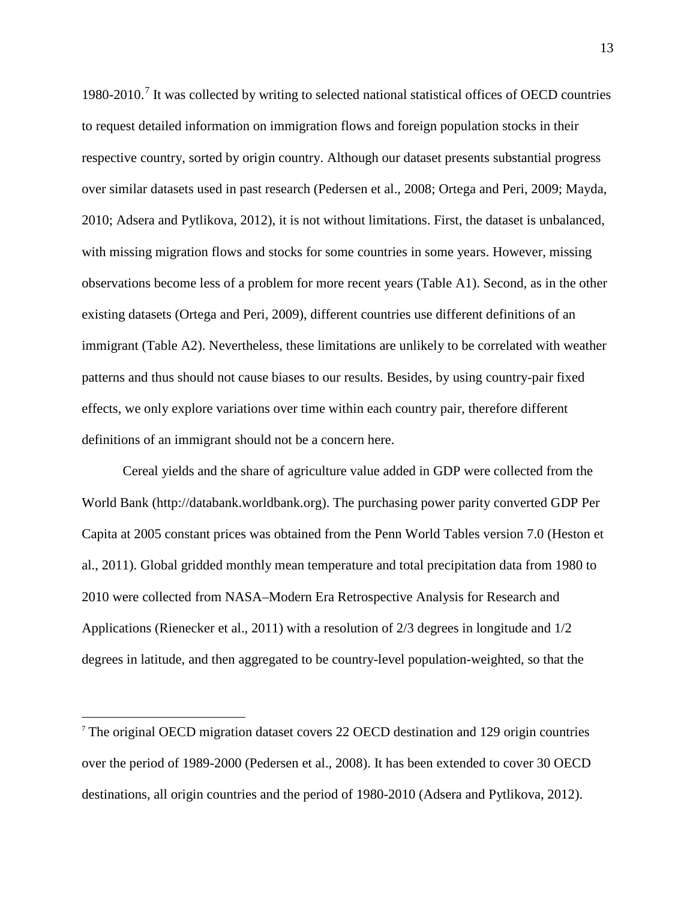1980-2010.<sup>[7](#page-11-0)</sup> It was collected by writing to selected national statistical offices of OECD countries to request detailed information on immigration flows and foreign population stocks in their respective country, sorted by origin country. Although our dataset presents substantial progress over similar datasets used in past research (Pedersen et al., 2008; Ortega and Peri, 2009; Mayda, 2010; Adsera and Pytlikova, 2012), it is not without limitations. First, the dataset is unbalanced, with missing migration flows and stocks for some countries in some years. However, missing observations become less of a problem for more recent years (Table A1). Second, as in the other existing datasets (Ortega and Peri, 2009), different countries use different definitions of an immigrant (Table A2). Nevertheless, these limitations are unlikely to be correlated with weather patterns and thus should not cause biases to our results. Besides, by using country-pair fixed effects, we only explore variations over time within each country pair, therefore different definitions of an immigrant should not be a concern here.

Cereal yields and the share of agriculture value added in GDP were collected from the World Bank (http://databank.worldbank.org). The purchasing power parity converted GDP Per Capita at 2005 constant prices was obtained from the Penn World Tables version 7.0 (Heston et al., 2011). Global gridded monthly mean temperature and total precipitation data from 1980 to 2010 were collected from NASA–Modern Era Retrospective Analysis for Research and Applications (Rienecker et al., 2011) with a resolution of 2/3 degrees in longitude and 1/2 degrees in latitude, and then aggregated to be country-level population-weighted, so that the

 <sup>7</sup> The original OECD migration dataset covers 22 OECD destination and 129 origin countries over the period of 1989-2000 (Pedersen et al., 2008). It has been extended to cover 30 OECD destinations, all origin countries and the period of 1980-2010 (Adsera and Pytlikova, 2012).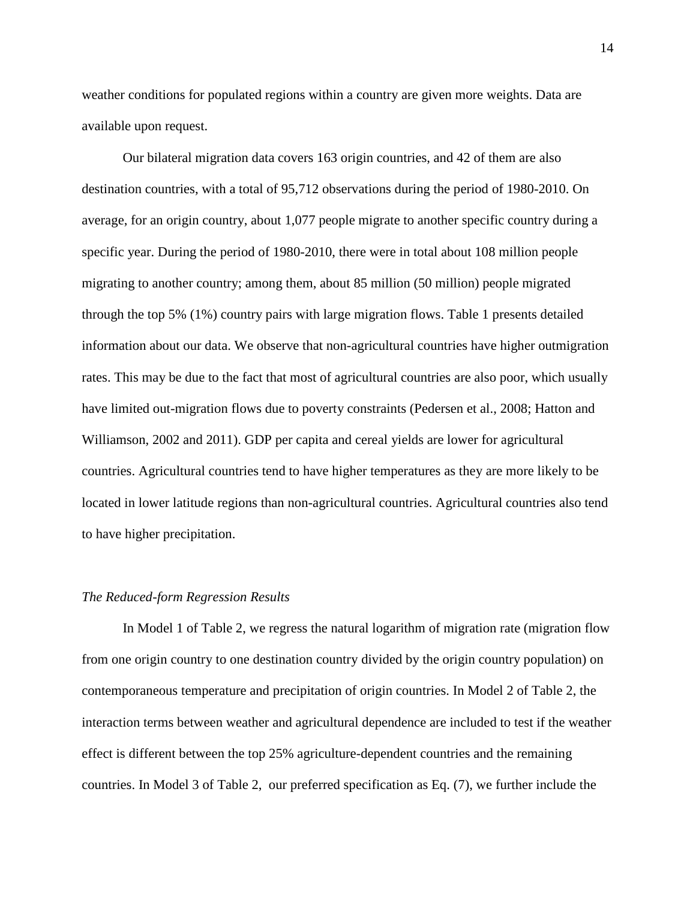weather conditions for populated regions within a country are given more weights. Data are available upon request.

Our bilateral migration data covers 163 origin countries, and 42 of them are also destination countries, with a total of 95,712 observations during the period of 1980-2010. On average, for an origin country, about 1,077 people migrate to another specific country during a specific year. During the period of 1980-2010, there were in total about 108 million people migrating to another country; among them, about 85 million (50 million) people migrated through the top 5% (1%) country pairs with large migration flows. Table 1 presents detailed information about our data. We observe that non-agricultural countries have higher outmigration rates. This may be due to the fact that most of agricultural countries are also poor, which usually have limited out-migration flows due to poverty constraints (Pedersen et al., 2008; Hatton and Williamson, 2002 and 2011). GDP per capita and cereal yields are lower for agricultural countries. Agricultural countries tend to have higher temperatures as they are more likely to be located in lower latitude regions than non-agricultural countries. Agricultural countries also tend to have higher precipitation.

#### *The Reduced-form Regression Results*

In Model 1 of Table 2, we regress the natural logarithm of migration rate (migration flow from one origin country to one destination country divided by the origin country population) on contemporaneous temperature and precipitation of origin countries. In Model 2 of Table 2, the interaction terms between weather and agricultural dependence are included to test if the weather effect is different between the top 25% agriculture-dependent countries and the remaining countries. In Model 3 of Table 2, our preferred specification as Eq. (7), we further include the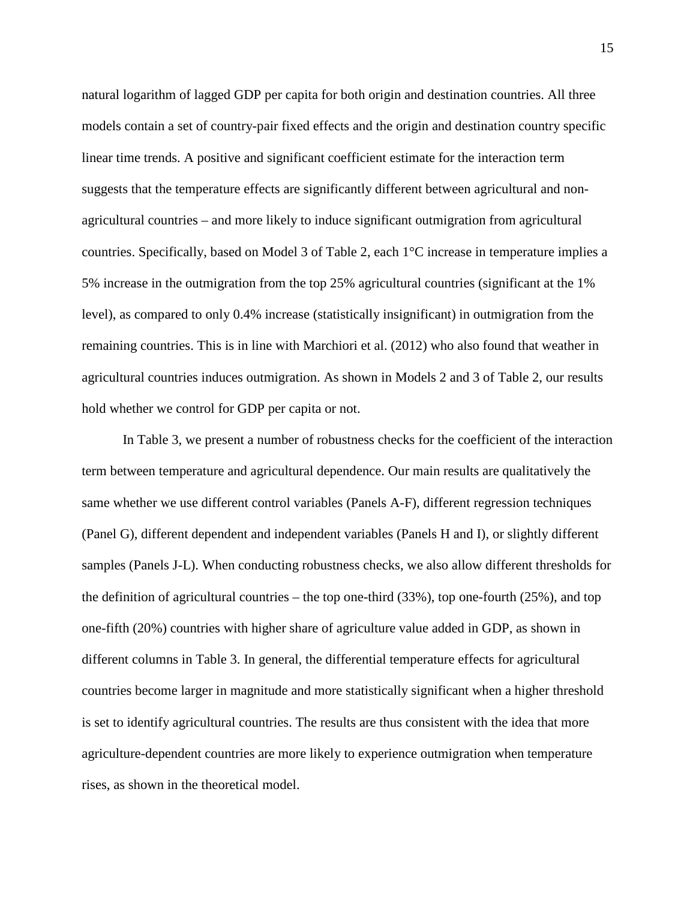natural logarithm of lagged GDP per capita for both origin and destination countries. All three models contain a set of country-pair fixed effects and the origin and destination country specific linear time trends. A positive and significant coefficient estimate for the interaction term suggests that the temperature effects are significantly different between agricultural and nonagricultural countries – and more likely to induce significant outmigration from agricultural countries. Specifically, based on Model 3 of Table 2, each 1°C increase in temperature implies a 5% increase in the outmigration from the top 25% agricultural countries (significant at the 1% level), as compared to only 0.4% increase (statistically insignificant) in outmigration from the remaining countries. This is in line with Marchiori et al. (2012) who also found that weather in agricultural countries induces outmigration. As shown in Models 2 and 3 of Table 2, our results hold whether we control for GDP per capita or not.

In Table 3, we present a number of robustness checks for the coefficient of the interaction term between temperature and agricultural dependence. Our main results are qualitatively the same whether we use different control variables (Panels A-F), different regression techniques (Panel G), different dependent and independent variables (Panels H and I), or slightly different samples (Panels J-L). When conducting robustness checks, we also allow different thresholds for the definition of agricultural countries – the top one-third  $(33\%)$ , top one-fourth  $(25\%)$ , and top one-fifth (20%) countries with higher share of agriculture value added in GDP, as shown in different columns in Table 3. In general, the differential temperature effects for agricultural countries become larger in magnitude and more statistically significant when a higher threshold is set to identify agricultural countries. The results are thus consistent with the idea that more agriculture-dependent countries are more likely to experience outmigration when temperature rises, as shown in the theoretical model.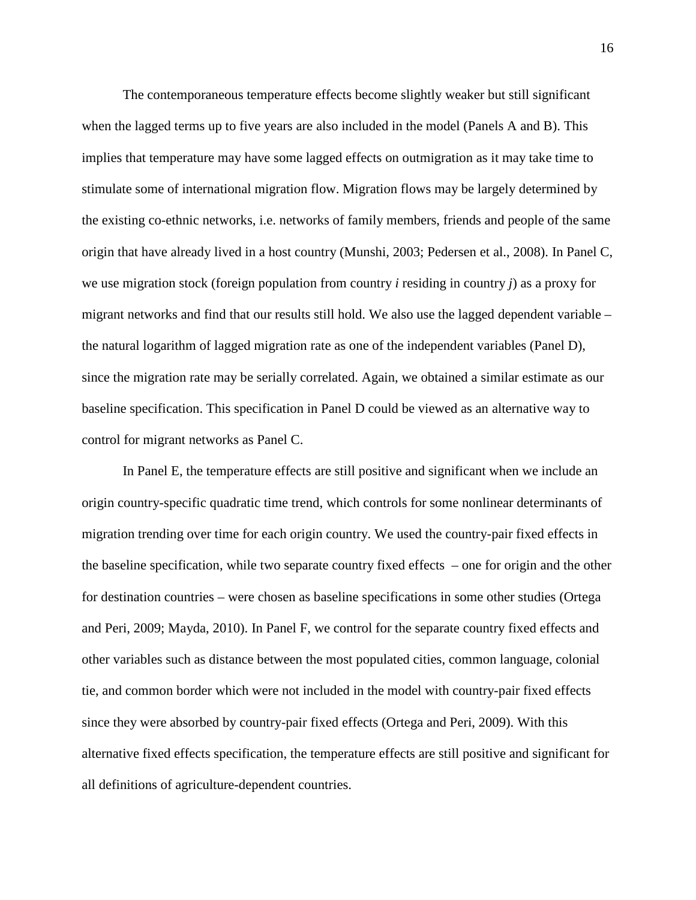The contemporaneous temperature effects become slightly weaker but still significant when the lagged terms up to five years are also included in the model (Panels A and B). This implies that temperature may have some lagged effects on outmigration as it may take time to stimulate some of international migration flow. Migration flows may be largely determined by the existing co-ethnic networks, i.e. networks of family members, friends and people of the same origin that have already lived in a host country (Munshi, 2003; Pedersen et al., 2008). In Panel C, we use migration stock (foreign population from country *i* residing in country *j*) as a proxy for migrant networks and find that our results still hold. We also use the lagged dependent variable – the natural logarithm of lagged migration rate as one of the independent variables (Panel D), since the migration rate may be serially correlated. Again, we obtained a similar estimate as our baseline specification. This specification in Panel D could be viewed as an alternative way to control for migrant networks as Panel C.

In Panel E, the temperature effects are still positive and significant when we include an origin country-specific quadratic time trend, which controls for some nonlinear determinants of migration trending over time for each origin country. We used the country-pair fixed effects in the baseline specification, while two separate country fixed effects – one for origin and the other for destination countries – were chosen as baseline specifications in some other studies (Ortega and Peri, 2009; Mayda, 2010). In Panel F, we control for the separate country fixed effects and other variables such as distance between the most populated cities, common language, colonial tie, and common border which were not included in the model with country-pair fixed effects since they were absorbed by country-pair fixed effects (Ortega and Peri, 2009). With this alternative fixed effects specification, the temperature effects are still positive and significant for all definitions of agriculture-dependent countries.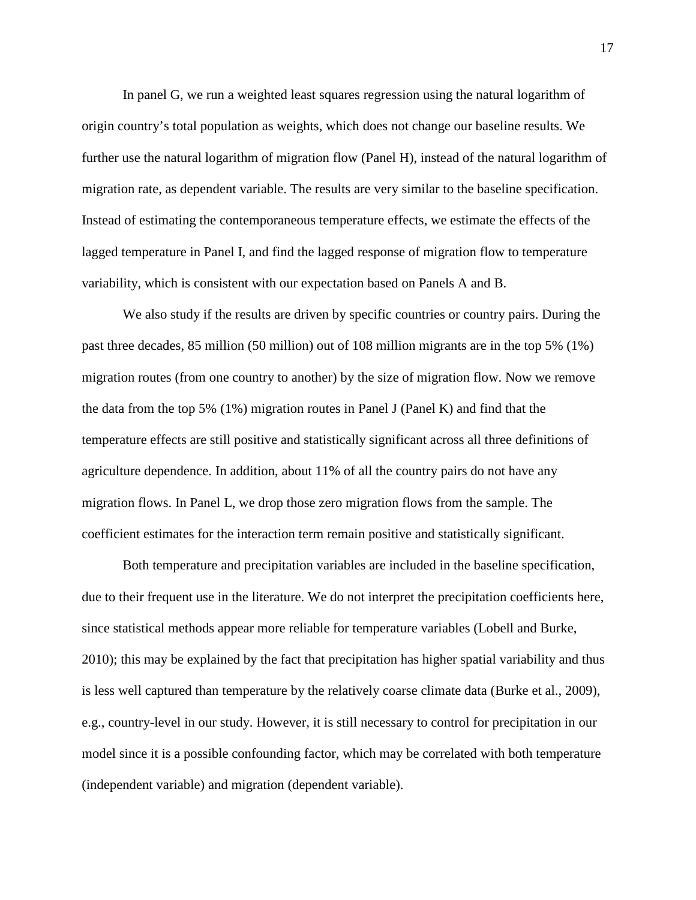In panel G, we run a weighted least squares regression using the natural logarithm of origin country's total population as weights, which does not change our baseline results. We further use the natural logarithm of migration flow (Panel H), instead of the natural logarithm of migration rate, as dependent variable. The results are very similar to the baseline specification. Instead of estimating the contemporaneous temperature effects, we estimate the effects of the lagged temperature in Panel I, and find the lagged response of migration flow to temperature variability, which is consistent with our expectation based on Panels A and B.

We also study if the results are driven by specific countries or country pairs. During the past three decades, 85 million (50 million) out of 108 million migrants are in the top 5% (1%) migration routes (from one country to another) by the size of migration flow. Now we remove the data from the top 5% (1%) migration routes in Panel J (Panel K) and find that the temperature effects are still positive and statistically significant across all three definitions of agriculture dependence. In addition, about 11% of all the country pairs do not have any migration flows. In Panel L, we drop those zero migration flows from the sample. The coefficient estimates for the interaction term remain positive and statistically significant.

Both temperature and precipitation variables are included in the baseline specification, due to their frequent use in the literature. We do not interpret the precipitation coefficients here, since statistical methods appear more reliable for temperature variables (Lobell and Burke, 2010); this may be explained by the fact that precipitation has higher spatial variability and thus is less well captured than temperature by the relatively coarse climate data (Burke et al., 2009), e.g., country-level in our study. However, it is still necessary to control for precipitation in our model since it is a possible confounding factor, which may be correlated with both temperature (independent variable) and migration (dependent variable).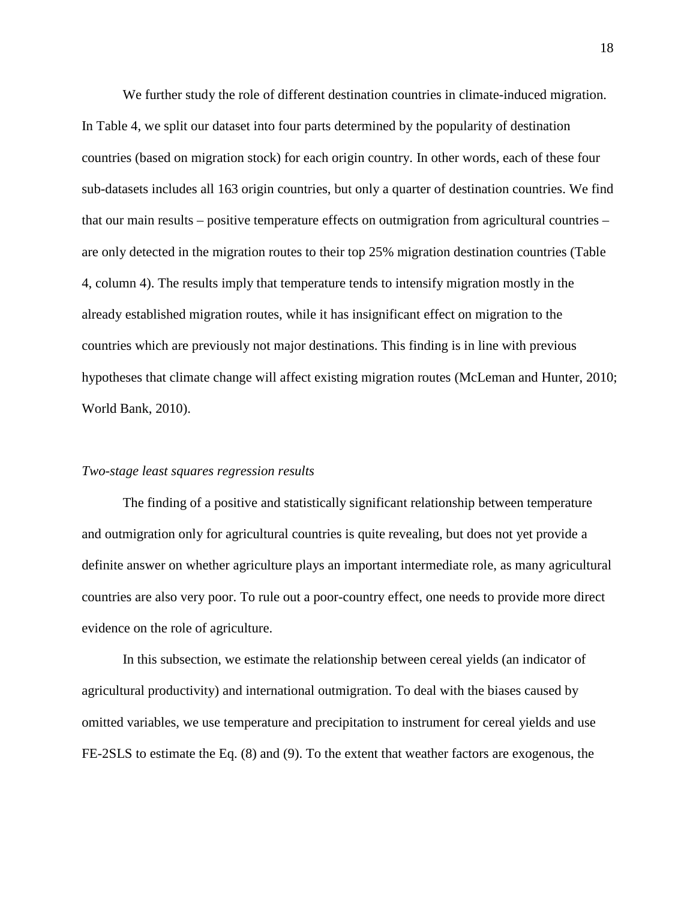We further study the role of different destination countries in climate-induced migration. In Table 4, we split our dataset into four parts determined by the popularity of destination countries (based on migration stock) for each origin country. In other words, each of these four sub-datasets includes all 163 origin countries, but only a quarter of destination countries. We find that our main results – positive temperature effects on outmigration from agricultural countries – are only detected in the migration routes to their top 25% migration destination countries (Table 4, column 4). The results imply that temperature tends to intensify migration mostly in the already established migration routes, while it has insignificant effect on migration to the countries which are previously not major destinations. This finding is in line with previous hypotheses that climate change will affect existing migration routes (McLeman and Hunter, 2010; World Bank, 2010).

#### *Two-stage least squares regression results*

The finding of a positive and statistically significant relationship between temperature and outmigration only for agricultural countries is quite revealing, but does not yet provide a definite answer on whether agriculture plays an important intermediate role, as many agricultural countries are also very poor. To rule out a poor-country effect, one needs to provide more direct evidence on the role of agriculture.

In this subsection, we estimate the relationship between cereal yields (an indicator of agricultural productivity) and international outmigration. To deal with the biases caused by omitted variables, we use temperature and precipitation to instrument for cereal yields and use FE-2SLS to estimate the Eq. (8) and (9). To the extent that weather factors are exogenous, the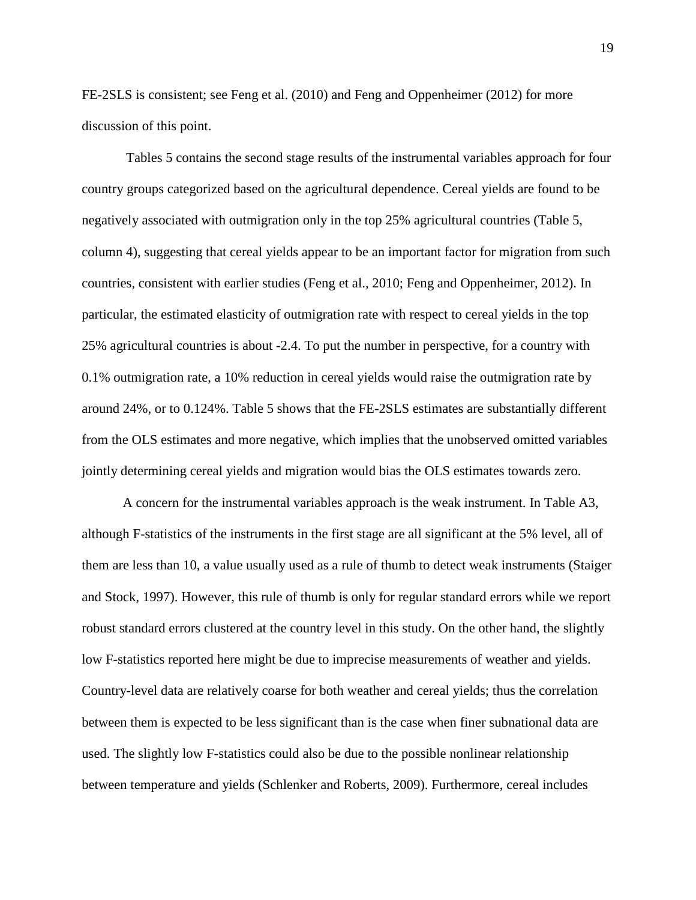FE-2SLS is consistent; see Feng et al. (2010) and Feng and Oppenheimer (2012) for more discussion of this point.

Tables 5 contains the second stage results of the instrumental variables approach for four country groups categorized based on the agricultural dependence. Cereal yields are found to be negatively associated with outmigration only in the top 25% agricultural countries (Table 5, column 4), suggesting that cereal yields appear to be an important factor for migration from such countries, consistent with earlier studies (Feng et al., 2010; Feng and Oppenheimer, 2012). In particular, the estimated elasticity of outmigration rate with respect to cereal yields in the top 25% agricultural countries is about -2.4. To put the number in perspective, for a country with 0.1% outmigration rate, a 10% reduction in cereal yields would raise the outmigration rate by around 24%, or to 0.124%. Table 5 shows that the FE-2SLS estimates are substantially different from the OLS estimates and more negative, which implies that the unobserved omitted variables jointly determining cereal yields and migration would bias the OLS estimates towards zero.

A concern for the instrumental variables approach is the weak instrument. In Table A3, although F-statistics of the instruments in the first stage are all significant at the 5% level, all of them are less than 10, a value usually used as a rule of thumb to detect weak instruments (Staiger and Stock, 1997). However, this rule of thumb is only for regular standard errors while we report robust standard errors clustered at the country level in this study. On the other hand, the slightly low F-statistics reported here might be due to imprecise measurements of weather and yields. Country-level data are relatively coarse for both weather and cereal yields; thus the correlation between them is expected to be less significant than is the case when finer subnational data are used. The slightly low F-statistics could also be due to the possible nonlinear relationship between temperature and yields (Schlenker and Roberts, 2009). Furthermore, cereal includes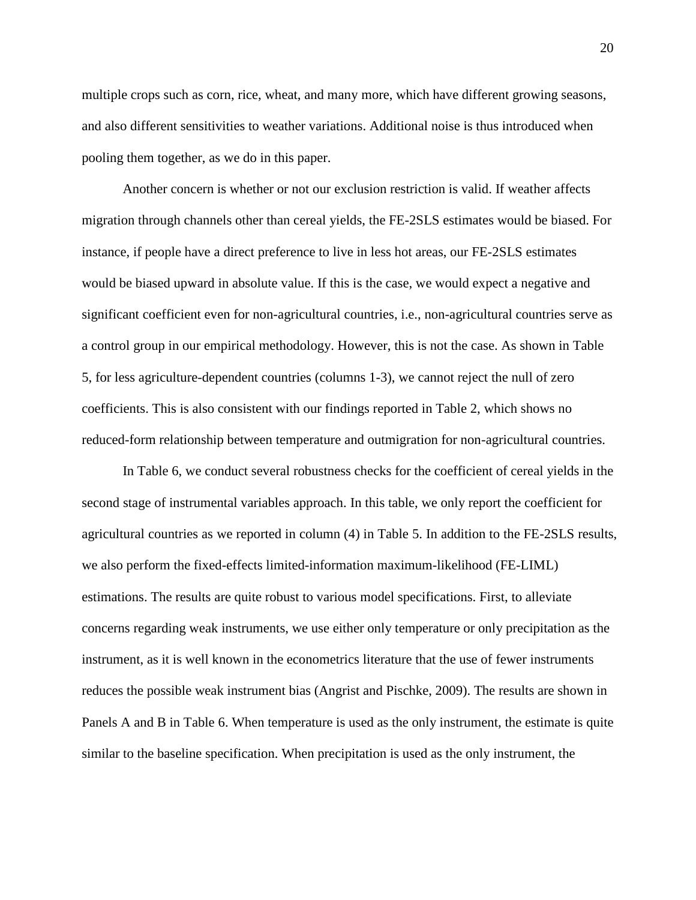multiple crops such as corn, rice, wheat, and many more, which have different growing seasons, and also different sensitivities to weather variations. Additional noise is thus introduced when pooling them together, as we do in this paper.

Another concern is whether or not our exclusion restriction is valid. If weather affects migration through channels other than cereal yields, the FE-2SLS estimates would be biased. For instance, if people have a direct preference to live in less hot areas, our FE-2SLS estimates would be biased upward in absolute value. If this is the case, we would expect a negative and significant coefficient even for non-agricultural countries, i.e., non-agricultural countries serve as a control group in our empirical methodology. However, this is not the case. As shown in Table 5, for less agriculture-dependent countries (columns 1-3), we cannot reject the null of zero coefficients. This is also consistent with our findings reported in Table 2, which shows no reduced-form relationship between temperature and outmigration for non-agricultural countries.

In Table 6, we conduct several robustness checks for the coefficient of cereal yields in the second stage of instrumental variables approach. In this table, we only report the coefficient for agricultural countries as we reported in column (4) in Table 5. In addition to the FE-2SLS results, we also perform the fixed-effects limited-information maximum-likelihood (FE-LIML) estimations. The results are quite robust to various model specifications. First, to alleviate concerns regarding weak instruments, we use either only temperature or only precipitation as the instrument, as it is well known in the econometrics literature that the use of fewer instruments reduces the possible weak instrument bias (Angrist and Pischke, 2009). The results are shown in Panels A and B in Table 6. When temperature is used as the only instrument, the estimate is quite similar to the baseline specification. When precipitation is used as the only instrument, the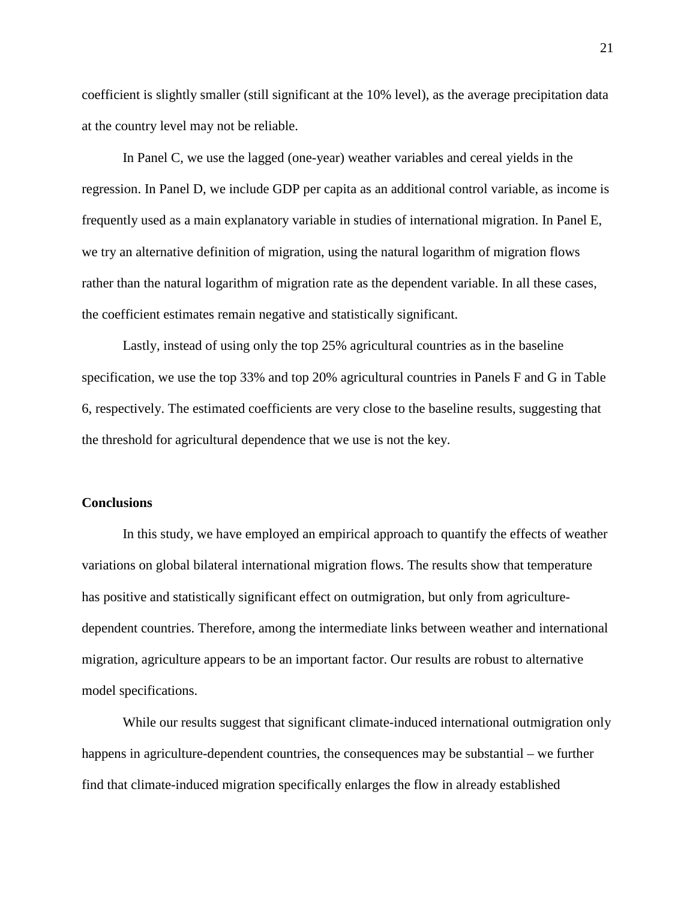coefficient is slightly smaller (still significant at the 10% level), as the average precipitation data at the country level may not be reliable.

In Panel C, we use the lagged (one-year) weather variables and cereal yields in the regression. In Panel D, we include GDP per capita as an additional control variable, as income is frequently used as a main explanatory variable in studies of international migration. In Panel E, we try an alternative definition of migration, using the natural logarithm of migration flows rather than the natural logarithm of migration rate as the dependent variable. In all these cases, the coefficient estimates remain negative and statistically significant.

Lastly, instead of using only the top 25% agricultural countries as in the baseline specification, we use the top 33% and top 20% agricultural countries in Panels F and G in Table 6, respectively. The estimated coefficients are very close to the baseline results, suggesting that the threshold for agricultural dependence that we use is not the key.

### **Conclusions**

In this study, we have employed an empirical approach to quantify the effects of weather variations on global bilateral international migration flows. The results show that temperature has positive and statistically significant effect on outmigration, but only from agriculturedependent countries. Therefore, among the intermediate links between weather and international migration, agriculture appears to be an important factor. Our results are robust to alternative model specifications.

While our results suggest that significant climate-induced international outmigration only happens in agriculture-dependent countries, the consequences may be substantial – we further find that climate-induced migration specifically enlarges the flow in already established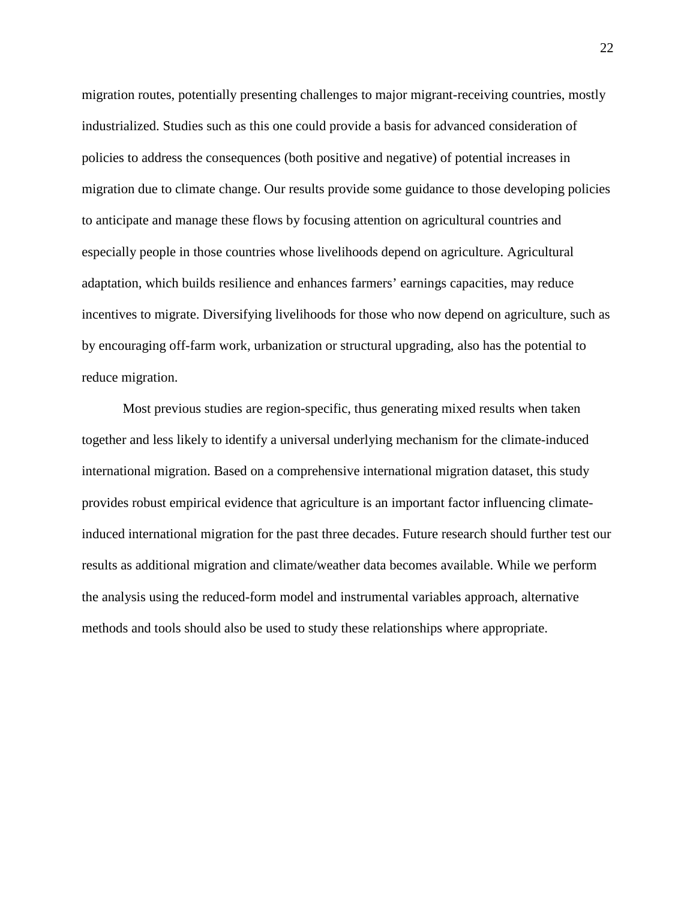migration routes, potentially presenting challenges to major migrant-receiving countries, mostly industrialized. Studies such as this one could provide a basis for advanced consideration of policies to address the consequences (both positive and negative) of potential increases in migration due to climate change. Our results provide some guidance to those developing policies to anticipate and manage these flows by focusing attention on agricultural countries and especially people in those countries whose livelihoods depend on agriculture. Agricultural adaptation, which builds resilience and enhances farmers' earnings capacities, may reduce incentives to migrate. Diversifying livelihoods for those who now depend on agriculture, such as by encouraging off-farm work, urbanization or structural upgrading, also has the potential to reduce migration.

Most previous studies are region-specific, thus generating mixed results when taken together and less likely to identify a universal underlying mechanism for the climate-induced international migration. Based on a comprehensive international migration dataset, this study provides robust empirical evidence that agriculture is an important factor influencing climateinduced international migration for the past three decades. Future research should further test our results as additional migration and climate/weather data becomes available. While we perform the analysis using the reduced-form model and instrumental variables approach, alternative methods and tools should also be used to study these relationships where appropriate.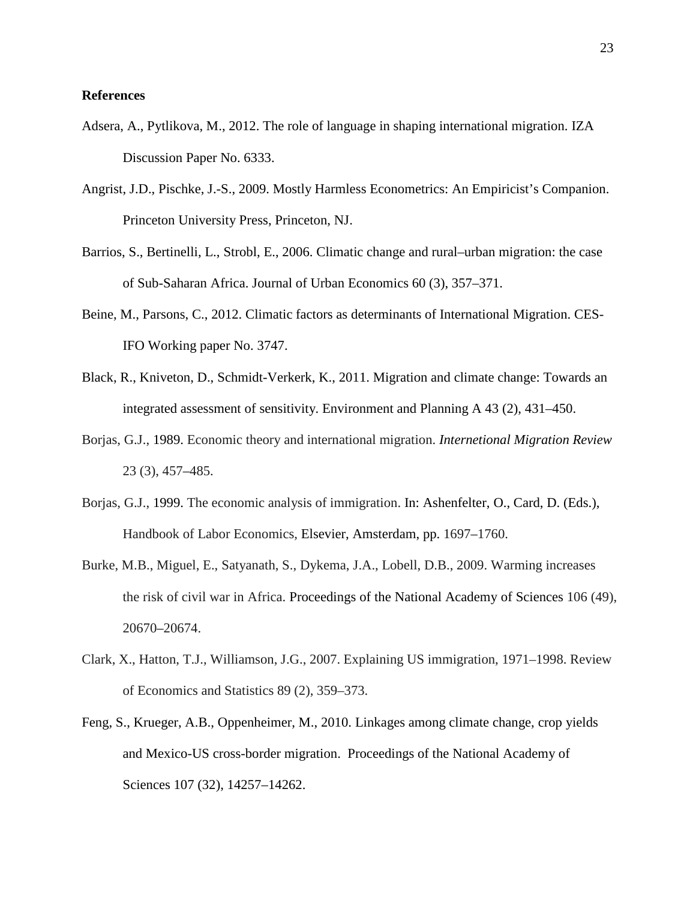#### **References**

- Adsera, A., Pytlikova, M., 2012. [The role of language in shaping international migration.](http://ftp.iza.org/dp6333.pdf) IZA [Discussion Paper No. 6333.](http://ftp.iza.org/dp6333.pdf)
- Angrist, J.D., Pischke, J.-S., 2009. Mostly Harmless Econometrics: An Empiricist's Companion. Princeton University Press, Princeton, NJ.
- Barrios, S., Bertinelli, L., Strobl, E., 2006. Climatic change and rural–urban migration: the case of Sub-Saharan Africa. Journal of Urban Economics 60 (3), 357–371.
- Beine, M., Parsons, C., 2012. Climatic factors as determinants of International Migration. CES-IFO Working paper No. 3747.
- Black, R., Kniveton, D., Schmidt-Verkerk, K., 2011. Migration and climate change: Towards an integrated assessment of sensitivity. Environment and Planning A 43 (2), 431–450.
- Borjas, G.J., 1989. Economic theory and international migration. *Internetional Migration Review* 23 (3), 457–485.
- Borjas, G.J., 1999. The economic analysis of immigration. In: Ashenfelter, O., Card, D. (Eds.), Handbook of Labor Economics, Elsevier, Amsterdam, pp. 1697–1760.
- Burke, M.B., Miguel, E., Satyanath, S., Dykema, J.A., Lobell, D.B., 2009. Warming increases the risk of civil war in Africa. Proceedings of the National Academy of Sciences 106 (49), 20670–20674.
- Clark, X., Hatton, T.J., Williamson, J.G., 2007. Explaining US immigration, 1971–1998. Review of Economics and Statistics 89 (2), 359–373.
- Feng, S., Krueger, A.B., Oppenheimer, M., 2010. Linkages among climate change, crop yields and Mexico-US cross-border migration. Proceedings of the National Academy of Sciences 107 (32), 14257–14262.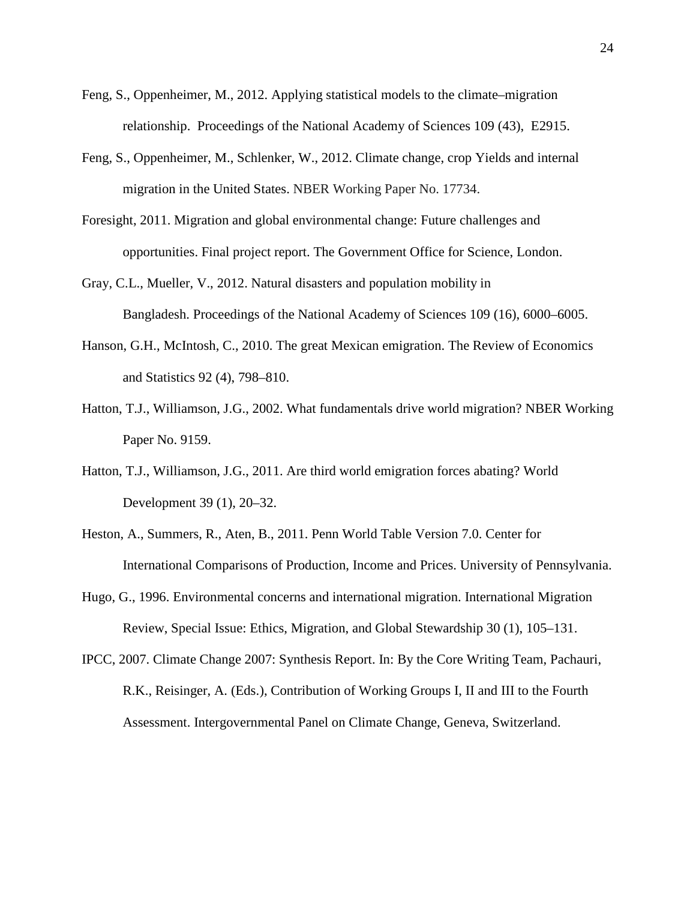- Feng, S., Oppenheimer, M., 2012. Applying statistical models to the climate–migration relationship. Proceedings of the National Academy of Sciences 109 (43), E2915.
- Feng, S., Oppenheimer, M., Schlenker, W., 2012. Climate change, crop Yields and internal migration in the United States. NBER Working Paper No. 17734.
- Foresight, 2011. Migration and global environmental change: Future challenges and opportunities. Final project report. The Government Office for Science, London.
- Gray, C.L., Mueller, V., 2012. Natural disasters and population mobility in Bangladesh. Proceedings of the National Academy of Sciences 109 (16), 6000–6005.
- Hanson, G.H., McIntosh, C., 2010. The great Mexican emigration. The Review of Economics and Statistics 92 (4), 798–810.
- Hatton, T.J., Williamson, J.G., 2002. What fundamentals drive world migration? NBER Working Paper No. 9159.
- Hatton, T.J., Williamson, J.G., 2011. Are third world emigration forces abating? World Development 39 (1), 20–32.
- Heston, A., Summers, R., Aten, B., 2011. Penn World Table Version 7.0. Center for International Comparisons of Production, Income and Prices. University of Pennsylvania.
- Hugo, G., 1996. Environmental concerns and international migration. International Migration Review, Special Issue: Ethics, Migration, and Global Stewardship 30 (1), 105–131.
- IPCC, 2007. Climate Change 2007: Synthesis Report. In: By the Core Writing Team, Pachauri, R.K., Reisinger, A. (Eds.), Contribution of Working Groups I, II and III to the Fourth Assessment. Intergovernmental Panel on Climate Change, Geneva, Switzerland.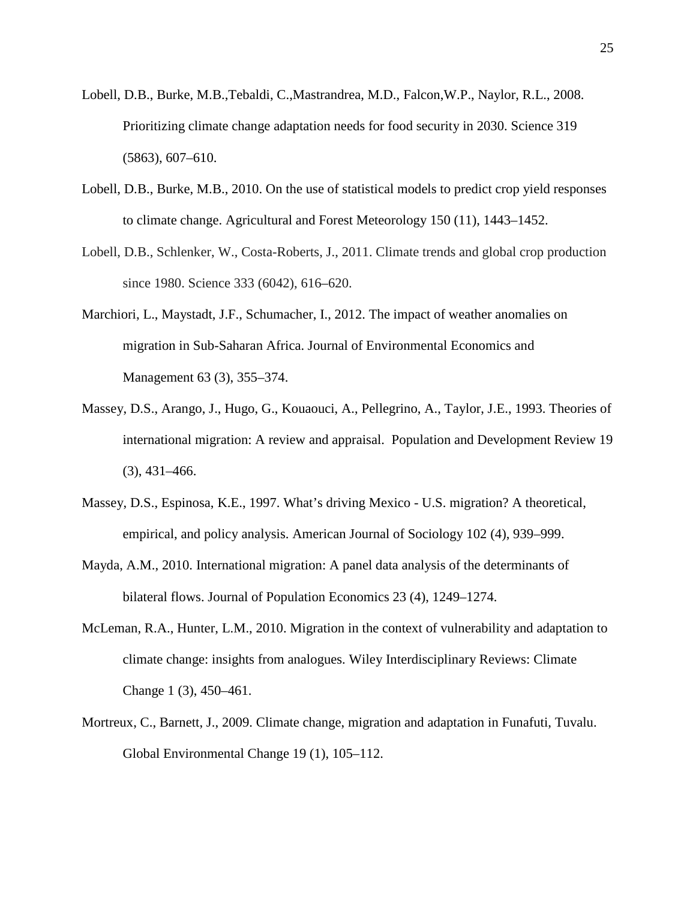- Lobell, D.B., Burke, M.B.,Tebaldi, C.,Mastrandrea, M.D., Falcon,W.P., Naylor, R.L., 2008. Prioritizing climate change adaptation needs for food security in 2030. Science 319 (5863), 607–610.
- Lobell, D.B., Burke, M.B., 2010. On the use of statistical models to predict crop yield responses to climate change. Agricultural and Forest Meteorology 150 (11), 1443–1452.
- Lobell, D.B., Schlenker, W., Costa-Roberts, J., 2011. Climate trends and global crop production since 1980. Science 333 (6042), 616–620.
- Marchiori, L., Maystadt, J.F., Schumacher, I., 2012. The impact of weather anomalies on migration in Sub-Saharan Africa. Journal of Environmental Economics and Management 63 (3), 355–374.
- Massey, D.S., Arango, J., Hugo, G., Kouaouci, A., Pellegrino, A., Taylor, J.E., 1993. Theories of international migration: A review and appraisal. Population and Development Review 19 (3), 431–466.
- Massey, D.S., Espinosa, K.E., 1997. What's driving Mexico U.S. migration? A theoretical, empirical, and policy analysis. American Journal of Sociology 102 (4), 939–999.
- Mayda, A.M., 2010. International migration: A panel data analysis of the determinants of bilateral flows. Journal of Population Economics 23 (4), 1249–1274.
- McLeman, R.A., Hunter, L.M., 2010. Migration in the context of vulnerability and adaptation to climate change: insights from analogues. Wiley Interdisciplinary Reviews: Climate Change 1 (3), 450–461.
- Mortreux, C., Barnett, J., 2009. Climate change, migration and adaptation in Funafuti, Tuvalu. Global Environmental Change 19 (1), 105–112.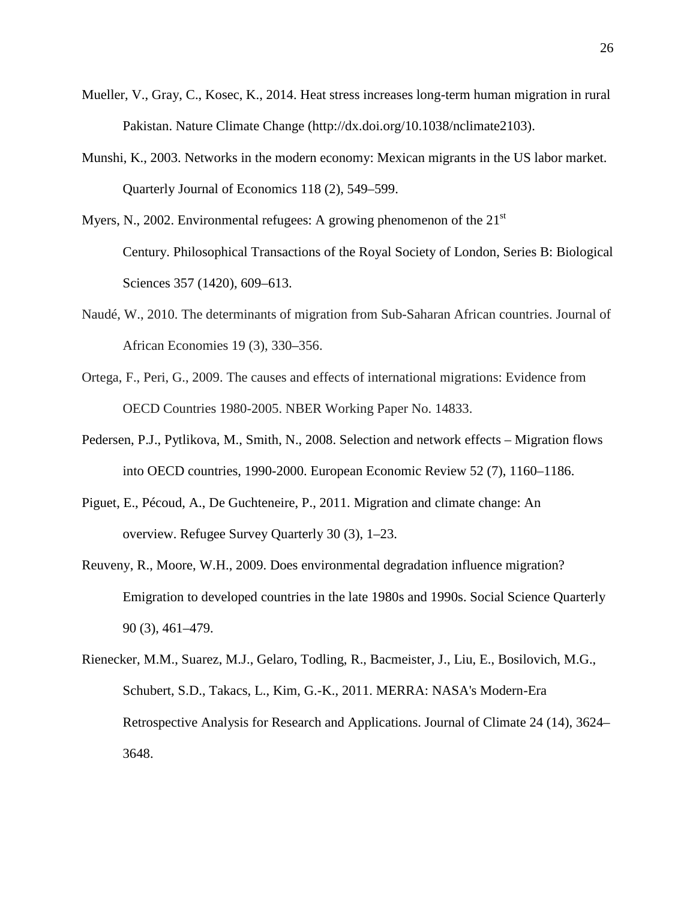- Mueller, V., Gray, C., Kosec, K., 2014. Heat stress increases long-term human migration in rural Pakistan. Nature Climate Change [\(http://dx.doi.org/10.1038/nclimate2103\)](http://dx.doi.org/10.1038/nclimate2103).
- Munshi, K., 2003. Networks in the modern economy: Mexican migrants in the US labor market. Quarterly Journal of Economics 118 (2), 549–599.
- Myers, N., 2002. Environmental refugees: A growing phenomenon of the  $21<sup>st</sup>$ Century. Philosophical Transactions of the Royal Society of London, Series B: Biological Sciences 357 (1420), 609–613.
- Naudé, W., 2010. The determinants of migration from Sub-Saharan African countries. Journal of African Economies 19 (3), 330–356.
- Ortega, F., Peri, G., 2009. The causes and effects of international migrations: Evidence from OECD Countries 1980-2005. NBER Working Paper No. 14833.
- Pedersen, P.J., Pytlikova, M., Smith, N., 2008. Selection and network effects Migration flows into OECD countries, 1990-2000. European Economic Review 52 (7), 1160–1186.
- Piguet, E., Pécoud, A., De Guchteneire, P., 2011. Migration and climate change: An overview. Refugee Survey Quarterly 30 (3), 1–23.
- Reuveny, R., Moore, W.H., 2009. Does environmental degradation influence migration? Emigration to developed countries in the late 1980s and 1990s. Social Science Quarterly 90 (3), 461–479.
- Rienecker, M.M., Suarez, M.J., Gelaro, Todling, R., Bacmeister, J., Liu, E., Bosilovich, M.G., Schubert, S.D., Takacs, L., Kim, G.-K., 2011. MERRA: NASA's Modern-Era Retrospective Analysis for Research and Applications. Journal of Climate 24 (14), 3624– 3648.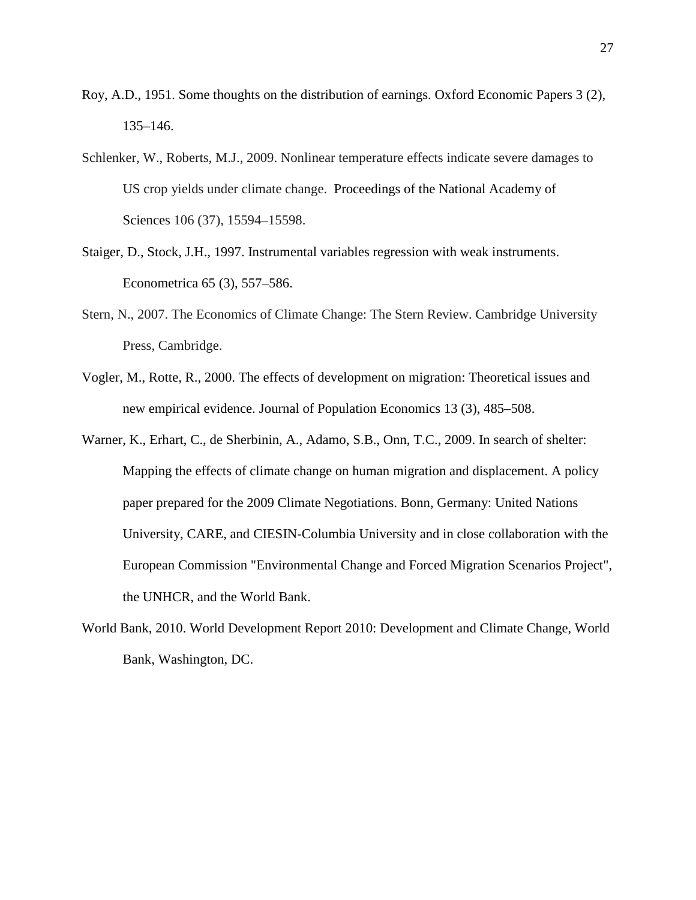- Roy, A.D., 1951. Some thoughts on the distribution of earnings. Oxford Economic Papers 3 (2), 135–146.
- Schlenker, W., Roberts, M.J., 2009. Nonlinear temperature effects indicate severe damages to US crop yields under climate change. Proceedings of the National Academy of Sciences 106 (37), 15594–15598.
- Staiger, D., Stock, J.H., 1997. Instrumental variables regression with weak instruments. Econometrica 65 (3), 557–586.
- Stern, N., 2007. The Economics of Climate Change: The Stern Review. Cambridge University Press, Cambridge.
- Vogler, M., Rotte, R., 2000. The effects of development on migration: Theoretical issues and new empirical evidence. Journal of Population Economics 13 (3), 485–508.
- Warner, K., Erhart, C., de Sherbinin, A., Adamo, S.B., Onn, T.C., 2009. In search of shelter: Mapping the effects of climate change on human migration and displacement. A policy paper prepared for the 2009 Climate Negotiations. Bonn, Germany: United Nations University, CARE, and CIESIN-Columbia University and in close collaboration with the European Commission "Environmental Change and Forced Migration Scenarios Project", the UNHCR, and the World Bank.
- World Bank, 2010. World Development Report 2010: Development and Climate Change, World Bank, Washington, DC.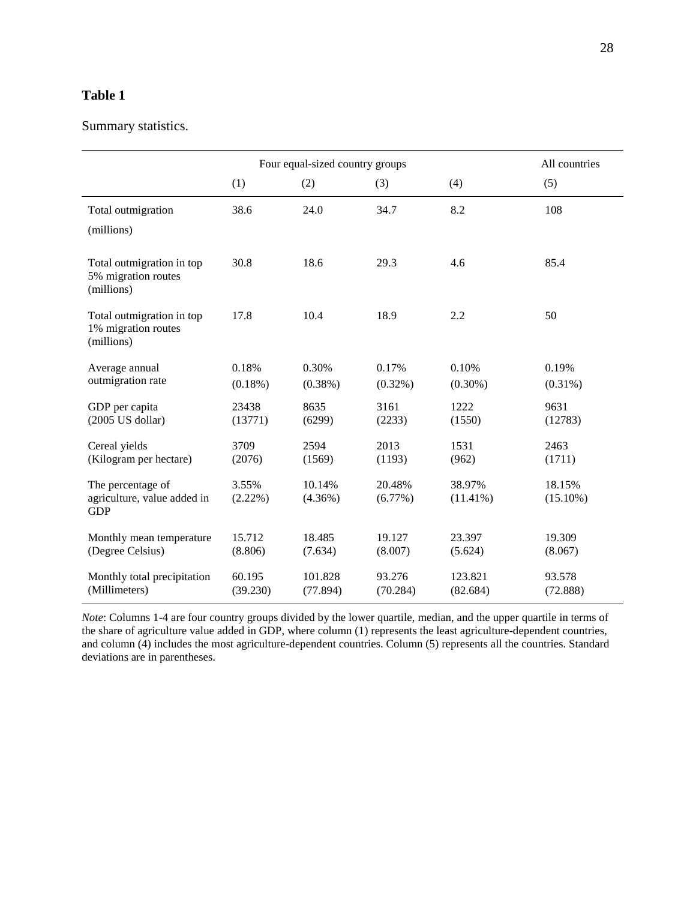### Summary statistics.

|                                                                |                     | Four equal-sized country groups |                      |                       | All countries         |
|----------------------------------------------------------------|---------------------|---------------------------------|----------------------|-----------------------|-----------------------|
|                                                                | (1)                 | (2)                             | (3)                  | (4)                   | (5)                   |
| Total outmigration<br>(millions)                               | 38.6                | 24.0                            | 34.7                 | 8.2                   | 108                   |
| Total outmigration in top<br>5% migration routes<br>(millions) | 30.8                | 18.6                            | 29.3                 | 4.6                   | 85.4                  |
| Total outmigration in top<br>1% migration routes<br>(millions) | 17.8                | 10.4                            | 18.9                 | 2.2                   | 50                    |
| Average annual<br>outmigration rate                            | 0.18%<br>$(0.18\%)$ | 0.30%<br>$(0.38\%)$             | 0.17%<br>$(0.32\%)$  | 0.10%<br>$(0.30\%)$   | 0.19%<br>$(0.31\%)$   |
| GDP per capita<br>$(2005$ US dollar)                           | 23438<br>(13771)    | 8635<br>(6299)                  | 3161<br>(2233)       | 1222<br>(1550)        | 9631<br>(12783)       |
| Cereal yields<br>(Kilogram per hectare)                        | 3709<br>(2076)      | 2594<br>(1569)                  | 2013<br>(1193)       | 1531<br>(962)         | 2463<br>(1711)        |
| The percentage of<br>agriculture, value added in<br><b>GDP</b> | 3.55%<br>$(2.22\%)$ | 10.14%<br>$(4.36\%)$            | 20.48%<br>$(6.77\%)$ | 38.97%<br>$(11.41\%)$ | 18.15%<br>$(15.10\%)$ |
| Monthly mean temperature<br>(Degree Celsius)                   | 15.712<br>(8.806)   | 18.485<br>(7.634)               | 19.127<br>(8.007)    | 23.397<br>(5.624)     | 19.309<br>(8.067)     |
| Monthly total precipitation<br>(Millimeters)                   | 60.195<br>(39.230)  | 101.828<br>(77.894)             | 93.276<br>(70.284)   | 123.821<br>(82.684)   | 93.578<br>(72.888)    |

*Note*: Columns 1-4 are four country groups divided by the lower quartile, median, and the upper quartile in terms of the share of agriculture value added in GDP, where column (1) represents the least agriculture-dependent countries, and column (4) includes the most agriculture-dependent countries. Column (5) represents all the countries. Standard deviations are in parentheses.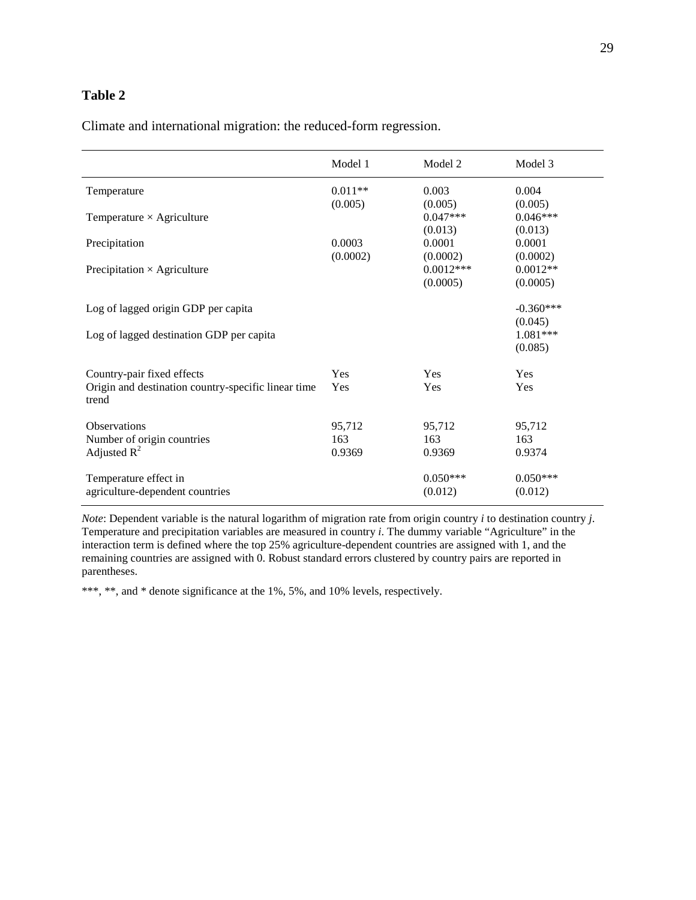|                                                              | Model 1              | Model 2                 | Model 3                        |
|--------------------------------------------------------------|----------------------|-------------------------|--------------------------------|
| Temperature                                                  | $0.011**$<br>(0.005) | 0.003<br>(0.005)        | 0.004<br>(0.005)               |
| Temperature $\times$ Agriculture                             |                      | $0.047***$<br>(0.013)   | $0.046***$<br>(0.013)          |
| Precipitation                                                | 0.0003<br>(0.0002)   | 0.0001<br>(0.0002)      | 0.0001<br>(0.0002)             |
| Precipitation $\times$ Agriculture                           |                      | $0.0012***$<br>(0.0005) | $0.0012**$<br>(0.0005)         |
| Log of lagged origin GDP per capita                          |                      |                         | $-0.360***$                    |
| Log of lagged destination GDP per capita                     |                      |                         | (0.045)<br>1.081***<br>(0.085) |
| Country-pair fixed effects                                   | Yes                  | Yes                     | Yes                            |
| Origin and destination country-specific linear time<br>trend | Yes                  | Yes                     | Yes                            |
| <b>Observations</b>                                          | 95,712               | 95,712                  | 95,712                         |
| Number of origin countries<br>Adjusted $R^2$                 | 163<br>0.9369        | 163<br>0.9369           | 163<br>0.9374                  |
| Temperature effect in<br>agriculture-dependent countries     |                      | $0.050***$<br>(0.012)   | $0.050***$<br>(0.012)          |

Climate and international migration: the reduced-form regression.

*Note*: Dependent variable is the natural logarithm of migration rate from origin country *i* to destination country *j*. Temperature and precipitation variables are measured in country *i*. The dummy variable "Agriculture" in the interaction term is defined where the top 25% agriculture-dependent countries are assigned with 1, and the remaining countries are assigned with 0. Robust standard errors clustered by country pairs are reported in parentheses.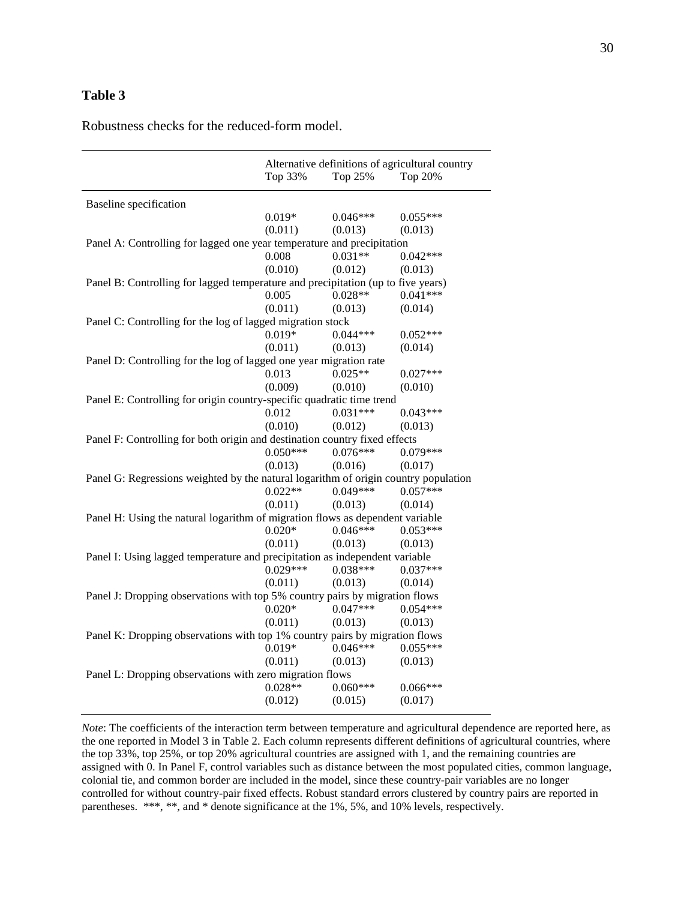Robustness checks for the reduced-form model.

|                                                                                     | Top 33%    | Top 25%    | Alternative definitions of agricultural country<br>Top 20% |
|-------------------------------------------------------------------------------------|------------|------------|------------------------------------------------------------|
| <b>Baseline</b> specification                                                       |            |            |                                                            |
|                                                                                     | $0.019*$   | $0.046***$ | $0.055***$                                                 |
|                                                                                     | (0.011)    | (0.013)    | (0.013)                                                    |
| Panel A: Controlling for lagged one year temperature and precipitation              |            |            |                                                            |
|                                                                                     | 0.008      | $0.031**$  | $0.042***$                                                 |
|                                                                                     | (0.010)    | (0.012)    | (0.013)                                                    |
| Panel B: Controlling for lagged temperature and precipitation (up to five years)    |            |            |                                                            |
|                                                                                     | 0.005      | $0.028**$  | $0.041***$                                                 |
|                                                                                     | (0.011)    | (0.013)    | (0.014)                                                    |
| Panel C: Controlling for the log of lagged migration stock                          |            |            |                                                            |
|                                                                                     | $0.019*$   | $0.044***$ | $0.052***$                                                 |
|                                                                                     | (0.011)    | (0.013)    | (0.014)                                                    |
| Panel D: Controlling for the log of lagged one year migration rate                  |            |            |                                                            |
|                                                                                     | 0.013      | $0.025**$  | $0.027***$                                                 |
|                                                                                     | (0.009)    | (0.010)    | (0.010)                                                    |
| Panel E: Controlling for origin country-specific quadratic time trend               |            |            |                                                            |
|                                                                                     | 0.012      | $0.031***$ | $0.043***$                                                 |
|                                                                                     | (0.010)    | (0.012)    | (0.013)                                                    |
| Panel F: Controlling for both origin and destination country fixed effects          |            |            |                                                            |
|                                                                                     | $0.050***$ | $0.076***$ | $0.079***$                                                 |
|                                                                                     | (0.013)    | (0.016)    | (0.017)                                                    |
| Panel G: Regressions weighted by the natural logarithm of origin country population |            |            |                                                            |
|                                                                                     | $0.022**$  | $0.049***$ | $0.057***$                                                 |
|                                                                                     | (0.011)    | (0.013)    | (0.014)                                                    |
| Panel H: Using the natural logarithm of migration flows as dependent variable       |            |            |                                                            |
|                                                                                     | $0.020*$   | $0.046***$ | $0.053***$                                                 |
|                                                                                     | (0.011)    | (0.013)    | (0.013)                                                    |
| Panel I: Using lagged temperature and precipitation as independent variable         |            |            |                                                            |
|                                                                                     | $0.029***$ | $0.038***$ | $0.037***$                                                 |
|                                                                                     | (0.011)    | (0.013)    | (0.014)                                                    |
| Panel J: Dropping observations with top 5% country pairs by migration flows         |            |            |                                                            |
|                                                                                     | $0.020*$   | $0.047***$ | $0.054***$                                                 |
|                                                                                     | (0.011)    | (0.013)    | (0.013)                                                    |
| Panel K: Dropping observations with top 1% country pairs by migration flows         |            |            |                                                            |
|                                                                                     | $0.019*$   | $0.046***$ | $0.055***$                                                 |
|                                                                                     | (0.011)    | (0.013)    | (0.013)                                                    |
| Panel L: Dropping observations with zero migration flows                            |            |            |                                                            |
|                                                                                     | $0.028**$  | $0.060***$ | $0.066***$                                                 |
|                                                                                     | (0.012)    | (0.015)    | (0.017)                                                    |
|                                                                                     |            |            |                                                            |

*Note*: The coefficients of the interaction term between temperature and agricultural dependence are reported here, as the one reported in Model 3 in Table 2. Each column represents different definitions of agricultural countries, where the top 33%, top 25%, or top 20% agricultural countries are assigned with 1, and the remaining countries are assigned with 0. In Panel F, control variables such as distance between the most populated cities, common language, colonial tie, and common border are included in the model, since these country-pair variables are no longer controlled for without country-pair fixed effects. Robust standard errors clustered by country pairs are reported in parentheses. \*\*\*, \*\*, and \* denote significance at the 1%, 5%, and 10% levels, respectively.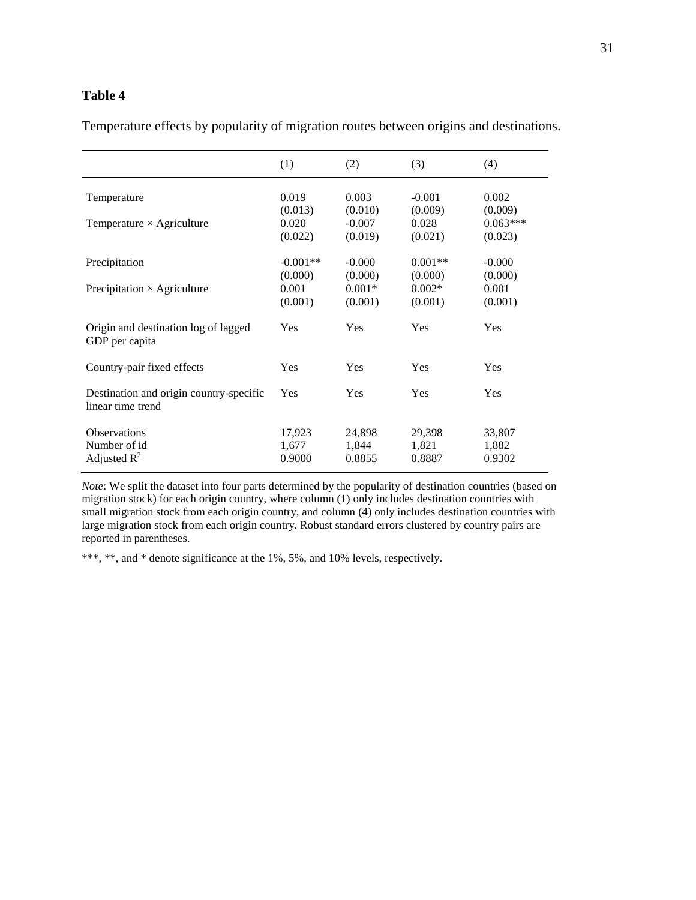|                                                              | (1)                                       | (2)                                        | (3)                                         | (4)                                       |
|--------------------------------------------------------------|-------------------------------------------|--------------------------------------------|---------------------------------------------|-------------------------------------------|
| Temperature<br>Temperature $\times$ Agriculture              | 0.019<br>(0.013)<br>0.020<br>(0.022)      | 0.003<br>(0.010)<br>$-0.007$<br>(0.019)    | $-0.001$<br>(0.009)<br>0.028<br>(0.021)     | 0.002<br>(0.009)<br>$0.063***$<br>(0.023) |
| Precipitation<br>Precipitation $\times$ Agriculture          | $-0.001**$<br>(0.000)<br>0.001<br>(0.001) | $-0.000$<br>(0.000)<br>$0.001*$<br>(0.001) | $0.001**$<br>(0.000)<br>$0.002*$<br>(0.001) | $-0.000$<br>(0.000)<br>0.001<br>(0.001)   |
| Origin and destination log of lagged<br>GDP per capita       | <b>Yes</b>                                | <b>Yes</b>                                 | Yes                                         | <b>Yes</b>                                |
| Country-pair fixed effects                                   | Yes                                       | Yes                                        | Yes                                         | Yes                                       |
| Destination and origin country-specific<br>linear time trend | Yes                                       | <b>Yes</b>                                 | Yes                                         | Yes                                       |
| <b>Observations</b><br>Number of id<br>Adjusted $R^2$        | 17,923<br>1,677<br>0.9000                 | 24,898<br>1,844<br>0.8855                  | 29,398<br>1,821<br>0.8887                   | 33,807<br>1,882<br>0.9302                 |

Temperature effects by popularity of migration routes between origins and destinations.

*Note*: We split the dataset into four parts determined by the popularity of destination countries (based on migration stock) for each origin country, where column (1) only includes destination countries with small migration stock from each origin country, and column (4) only includes destination countries with large migration stock from each origin country. Robust standard errors clustered by country pairs are reported in parentheses.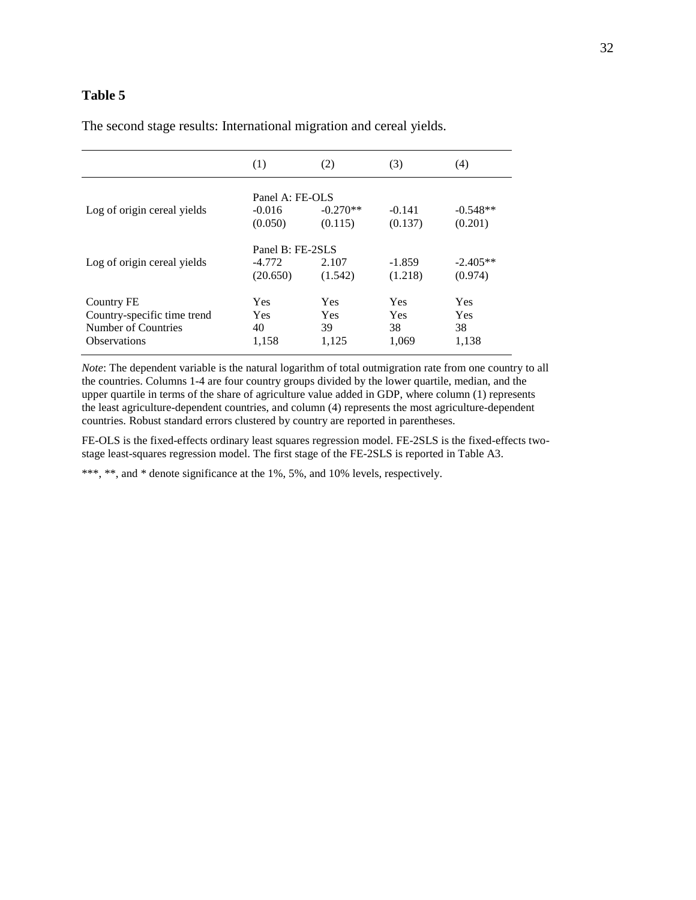|                                                                                         | (1)                                      | (2)                              | (3)                       | (4)                              |
|-----------------------------------------------------------------------------------------|------------------------------------------|----------------------------------|---------------------------|----------------------------------|
| Log of origin cereal yields                                                             | Panel A: FE-OLS<br>$-0.016$<br>(0.050)   | $-0.270**$<br>(0.115)            | $-0.141$<br>(0.137)       | $-0.548**$<br>(0.201)            |
| Log of origin cereal yields                                                             | Panel B: FE-2SLS<br>$-4.772$<br>(20.650) | 2.107<br>(1.542)                 | $-1.859$<br>(1.218)       | $-2.405**$<br>(0.974)            |
| Country FE<br>Country-specific time trend<br>Number of Countries<br><b>Observations</b> | <b>Yes</b><br>Yes<br>40<br>1,158         | <b>Yes</b><br>Yes<br>39<br>1,125 | Yes<br>Yes<br>38<br>1,069 | <b>Yes</b><br>Yes<br>38<br>1,138 |

The second stage results: International migration and cereal yields.

*Note*: The dependent variable is the natural logarithm of total outmigration rate from one country to all the countries. Columns 1-4 are four country groups divided by the lower quartile, median, and the upper quartile in terms of the share of agriculture value added in GDP, where column (1) represents the least agriculture-dependent countries, and column (4) represents the most agriculture-dependent countries. Robust standard errors clustered by country are reported in parentheses.

FE-OLS is the fixed-effects ordinary least squares regression model. FE-2SLS is the fixed-effects twostage least-squares regression model. The first stage of the FE-2SLS is reported in Table A3.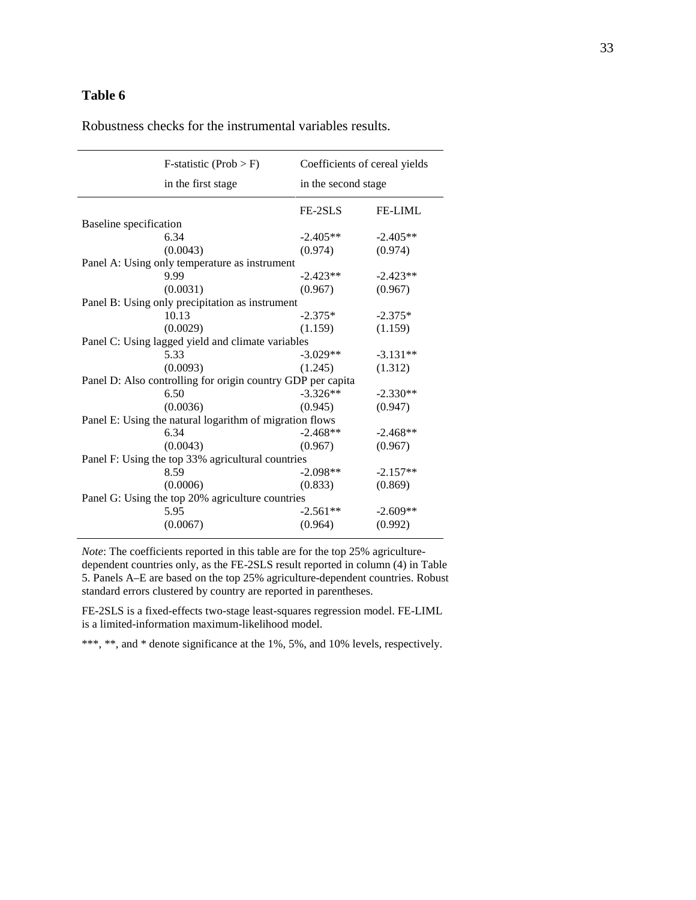Robustness checks for the instrumental variables results.

|                        | $F-statistic (Prob > F)$                                    | Coefficients of cereal yields |                |
|------------------------|-------------------------------------------------------------|-------------------------------|----------------|
|                        | in the first stage                                          | in the second stage           |                |
|                        |                                                             | FE-2SLS                       | <b>FE-LIML</b> |
| Baseline specification |                                                             |                               |                |
|                        | 6.34                                                        | $-2.405**$                    | $-2.405**$     |
|                        | (0.0043)                                                    | (0.974)                       | (0.974)        |
|                        | Panel A: Using only temperature as instrument               |                               |                |
|                        | 9.99                                                        | $-2.423**$                    | $-2.423**$     |
|                        | (0.0031)                                                    | (0.967)                       | (0.967)        |
|                        | Panel B: Using only precipitation as instrument             |                               |                |
|                        | 10.13                                                       | $-2.375*$                     | $-2.375*$      |
|                        | (0.0029)                                                    | (1.159)                       | (1.159)        |
|                        | Panel C: Using lagged yield and climate variables           |                               |                |
|                        | 5.33                                                        | $-3.029**$                    | $-3.131**$     |
|                        | (0.0093)                                                    | (1.245)                       | (1.312)        |
|                        | Panel D: Also controlling for origin country GDP per capita |                               |                |
|                        | 6.50                                                        | $-3.326**$                    | $-2.330**$     |
|                        | (0.0036)                                                    | (0.945)                       | (0.947)        |
|                        | Panel E: Using the natural logarithm of migration flows     |                               |                |
|                        | 6.34                                                        | $-2.468**$                    | $-2.468**$     |
|                        | (0.0043)                                                    | (0.967)                       | (0.967)        |
|                        | Panel F: Using the top 33% agricultural countries           |                               |                |
|                        | 8.59                                                        | $-2.098**$                    | $-2.157**$     |
|                        | (0.0006)                                                    | (0.833)                       | (0.869)        |
|                        | Panel G: Using the top 20% agriculture countries            |                               |                |
|                        | 5.95                                                        | $-2.561**$                    | $-2.609**$     |
|                        | (0.0067)                                                    | (0.964)                       | (0.992)        |
|                        |                                                             |                               |                |

*Note*: The coefficients reported in this table are for the top 25% agriculturedependent countries only, as the FE-2SLS result reported in column (4) in Table 5. Panels A–E are based on the top 25% agriculture-dependent countries. Robust standard errors clustered by country are reported in parentheses.

FE-2SLS is a fixed-effects two-stage least-squares regression model. FE-LIML is a limited-information maximum-likelihood model.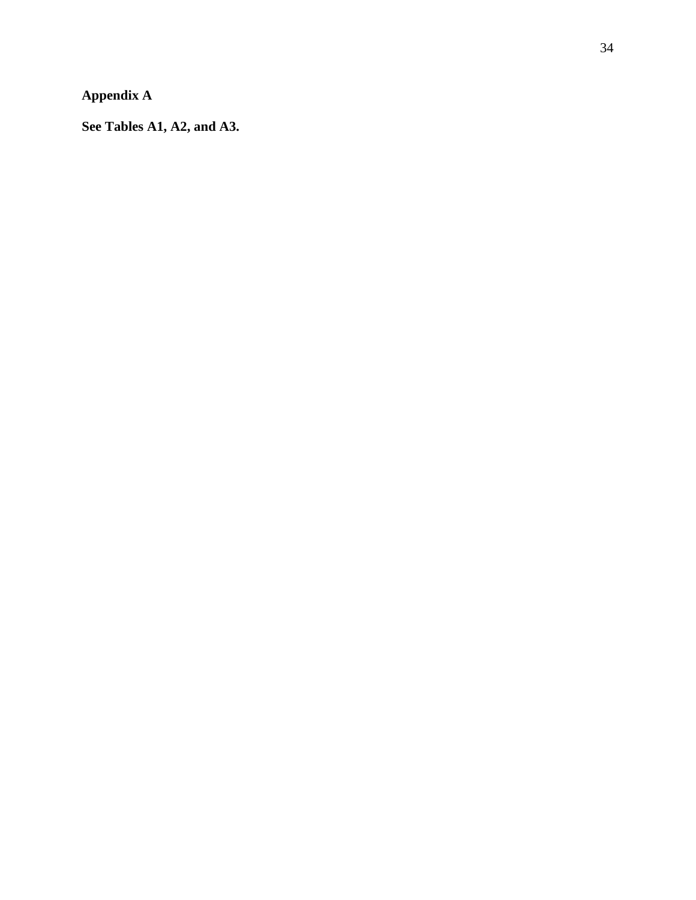**Appendix A**

**See Tables A1, A2, and A3.**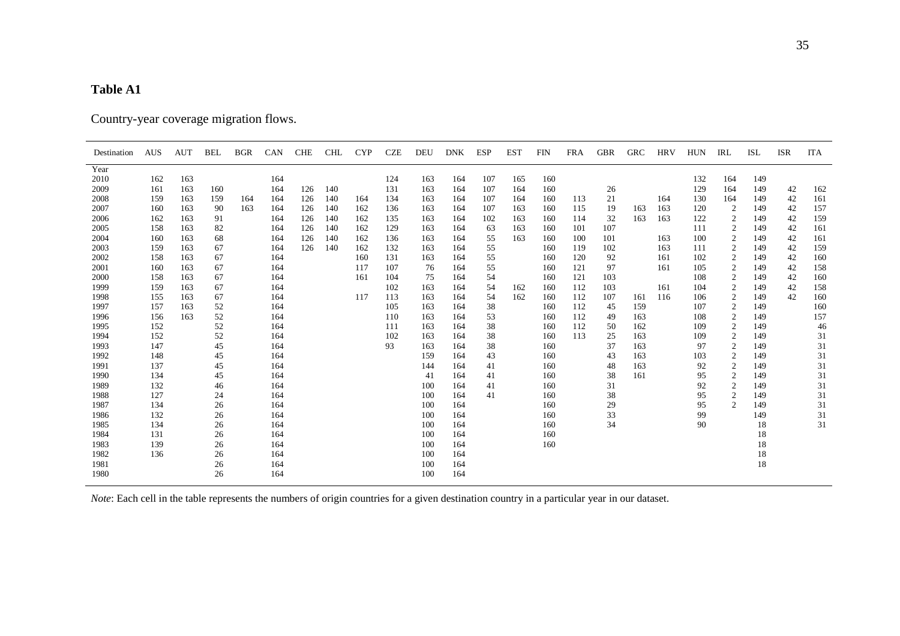### **Table A1**

Country-year coverage migration flows.

| Destination | AUS | <b>AUT</b> | <b>BEL</b> | <b>BGR</b> | CAN | <b>CHE</b> | <b>CHL</b> | <b>CYP</b> | <b>CZE</b> | DEU | DNK | <b>ESP</b> | <b>EST</b> | <b>FIN</b> | <b>FRA</b> | GBR | <b>GRC</b> | <b>HRV</b> | <b>HUN</b> | <b>IRL</b>     | <b>ISL</b> | <b>ISR</b> | <b>ITA</b> |
|-------------|-----|------------|------------|------------|-----|------------|------------|------------|------------|-----|-----|------------|------------|------------|------------|-----|------------|------------|------------|----------------|------------|------------|------------|
| Year        |     |            |            |            |     |            |            |            |            |     |     |            |            |            |            |     |            |            |            |                |            |            |            |
| 2010        | 162 | 163        |            |            | 164 |            |            |            | 124        | 163 | 164 | 107        | 165        | 160        |            |     |            |            | 132        | 164            | 149        |            |            |
| 2009        | 161 | 163        | 160        |            | 164 | 126        | 140        |            | 131        | 163 | 164 | 107        | 164        | 160        |            | 26  |            |            | 129        | 164            | 149        | 42         | 162        |
| 2008        | 159 | 163        | 159        | 164        | 164 | 126        | 140        | 164        | 134        | 163 | 164 | 107        | 164        | 160        | 113        | 21  |            | 164        | 130        | 164            | 149        | 42         | 161        |
| 2007        | 160 | 163        | 90         | 163        | 164 | 126        | 140        | 162        | 136        | 163 | 164 | 107        | 163        | 160        | 115        | 19  | 163        | 163        | 120        | 2              | 149        | 42         | 157        |
| 2006        | 162 | 163        | 91         |            | 164 | 126        | 140        | 162        | 135        | 163 | 164 | 102        | 163        | 160        | 114        | 32  | 163        | 163        | 122        | $\overline{2}$ | 149        | 42         | 159        |
| 2005        | 158 | 163        | 82         |            | 164 | 126        | 140        | 162        | 129        | 163 | 164 | 63         | 163        | 160        | 101        | 107 |            |            | 111        | $\overline{2}$ | 149        | 42         | 161        |
| 2004        | 160 | 163        | 68         |            | 164 | 126        | 140        | 162        | 136        | 163 | 164 | 55         | 163        | 160        | 100        | 101 |            | 163        | 100        | $\overline{2}$ | 149        | 42         | 161        |
| 2003        | 159 | 163        | 67         |            | 164 | 126        | 140        | 162        | 132        | 163 | 164 | 55         |            | 160        | 119        | 102 |            | 163        | 111        | $\overline{c}$ | 149        | 42         | 159        |
| 2002        | 158 | 163        | 67         |            | 164 |            |            | 160        | 131        | 163 | 164 | 55         |            | 160        | 120        | 92  |            | 161        | 102        | $\overline{2}$ | 149        | 42         | 160        |
| 2001        | 160 | 163        | 67         |            | 164 |            |            | 117        | 107        | 76  | 164 | 55         |            | 160        | 121        | 97  |            | 161        | 105        | $\overline{2}$ | 149        | 42         | 158        |
| 2000        | 158 | 163        | 67         |            | 164 |            |            | 161        | 104        | 75  | 164 | 54         |            | 160        | 121        | 103 |            |            | 108        | $\overline{2}$ | 149        | 42         | 160        |
| 1999        | 159 | 163        | 67         |            | 164 |            |            |            | 102        | 163 | 164 | 54         | 162        | 160        | 112        | 103 |            | 161        | 104        | $\overline{2}$ | 149        | 42         | 158        |
| 1998        | 155 | 163        | 67         |            | 164 |            |            | 117        | 113        | 163 | 164 | 54         | 162        | 160        | 112        | 107 | 161        | 116        | 106        | $\overline{2}$ | 149        | 42         | 160        |
| 1997        | 157 | 163        | 52         |            | 164 |            |            |            | 105        | 163 | 164 | 38         |            | 160        | 112        | 45  | 159        |            | 107        | $\overline{2}$ | 149        |            | 160        |
| 1996        | 156 | 163        | 52         |            | 164 |            |            |            | 110        | 163 | 164 | 53         |            | 160        | 112        | 49  | 163        |            | 108        | $\overline{2}$ | 149        |            | 157        |
| 1995        | 152 |            | 52         |            | 164 |            |            |            | 111        | 163 | 164 | 38         |            | 160        | 112        | 50  | 162        |            | 109        | $\overline{2}$ | 149        |            | 46         |
| 1994        | 152 |            | 52         |            | 164 |            |            |            | 102        | 163 | 164 | 38         |            | 160        | 113        | 25  | 163        |            | 109        | $\overline{2}$ | 149        |            | 31         |
| 1993        | 147 |            | 45         |            | 164 |            |            |            | 93         | 163 | 164 | 38         |            | 160        |            | 37  | 163        |            | 97         | $\overline{2}$ | 149        |            | 31         |
| 1992        | 148 |            | 45         |            | 164 |            |            |            |            | 159 | 164 | 43         |            | 160        |            | 43  | 163        |            | 103        | $\overline{c}$ | 149        |            | 31         |
| 1991        | 137 |            | 45         |            | 164 |            |            |            |            | 144 | 164 | 41         |            | 160        |            | 48  | 163        |            | 92         | $\overline{2}$ | 149        |            | 31         |
| 1990        | 134 |            | 45         |            | 164 |            |            |            |            | 41  | 164 | 41         |            | 160        |            | 38  | 161        |            | 95         | $\overline{2}$ | 149        |            | 31         |
| 1989        | 132 |            | 46         |            | 164 |            |            |            |            | 100 | 164 | 41         |            | 160        |            | 31  |            |            | 92         | $\overline{2}$ | 149        |            | 31         |
| 1988        | 127 |            | 24         |            | 164 |            |            |            |            | 100 | 164 | 41         |            | 160        |            | 38  |            |            | 95         | $\overline{2}$ | 149        |            | 31         |
| 1987        | 134 |            | 26         |            | 164 |            |            |            |            | 100 | 164 |            |            | 160        |            | 29  |            |            | 95         | $\mathfrak{D}$ | 149        |            | 31         |
| 1986        | 132 |            | 26         |            | 164 |            |            |            |            | 100 | 164 |            |            | 160        |            | 33  |            |            | 99         |                | 149        |            | 31         |
| 1985        | 134 |            | 26         |            | 164 |            |            |            |            | 100 | 164 |            |            | 160        |            | 34  |            |            | 90         |                | 18         |            | 31         |
| 1984        | 131 |            | 26         |            | 164 |            |            |            |            | 100 | 164 |            |            | 160        |            |     |            |            |            |                | 18         |            |            |
| 1983        | 139 |            | 26         |            | 164 |            |            |            |            | 100 | 164 |            |            | 160        |            |     |            |            |            |                | 18         |            |            |
| 1982        | 136 |            | 26         |            | 164 |            |            |            |            | 100 | 164 |            |            |            |            |     |            |            |            |                | 18         |            |            |
| 1981        |     |            | 26         |            | 164 |            |            |            |            | 100 | 164 |            |            |            |            |     |            |            |            |                | 18         |            |            |
| 1980        |     |            | 26         |            | 164 |            |            |            |            | 100 | 164 |            |            |            |            |     |            |            |            |                |            |            |            |

*Note*: Each cell in the table represents the numbers of origin countries for a given destination country in a particular year in our dataset.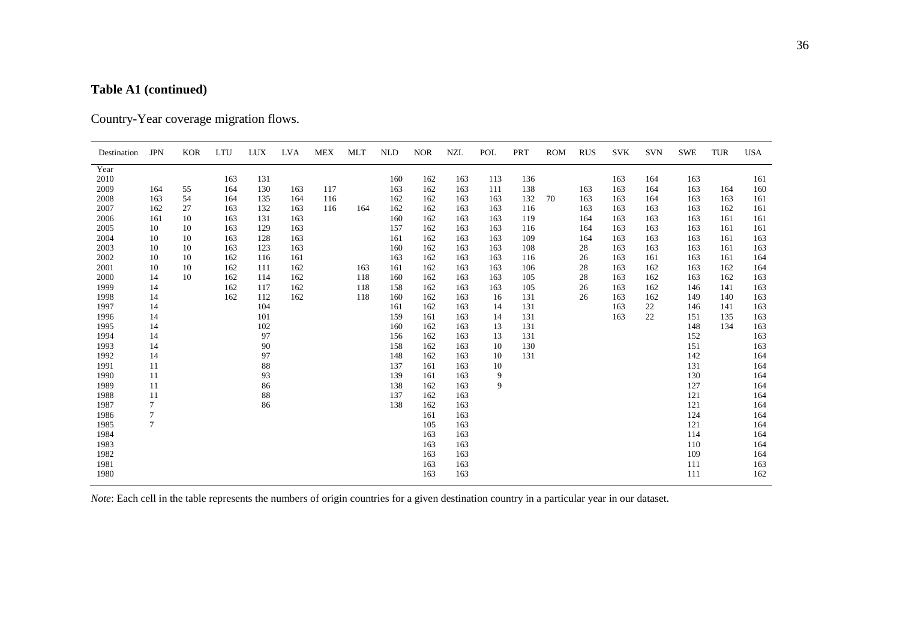### **Table A1 (continued)**

Country-Year coverage migration flows.

| Destination  | <b>JPN</b>     | <b>KOR</b> | <b>LTU</b> | <b>LUX</b> | <b>LVA</b> | <b>MEX</b> | <b>MLT</b> | <b>NLD</b> | <b>NOR</b> | <b>NZL</b> | POL | <b>PRT</b> | <b>ROM</b> | <b>RUS</b> | <b>SVK</b> | <b>SVN</b> | <b>SWE</b> | TUR | <b>USA</b> |
|--------------|----------------|------------|------------|------------|------------|------------|------------|------------|------------|------------|-----|------------|------------|------------|------------|------------|------------|-----|------------|
| Year<br>2010 |                |            | 163        | 131        |            |            |            | 160        | 162        | 163        | 113 | 136        |            |            | 163        | 164        | 163        |     | 161        |
| 2009         | 164            | 55         | 164        | 130        | 163        | 117        |            | 163        | 162        | 163        | 111 | 138        |            | 163        | 163        | 164        | 163        | 164 | 160        |
| 2008         | 163            | 54         | 164        | 135        | 164        | 116        |            | 162        | 162        | 163        | 163 | 132        | 70         | 163        | 163        | 164        | 163        | 163 | 161        |
| 2007         | 162            | 27         | 163        | 132        | 163        | 116        | 164        | 162        | 162        | 163        | 163 | 116        |            | 163        | 163        | 163        | 163        | 162 | 161        |
| 2006         | 161            | 10         | 163        | 131        | 163        |            |            | 160        | 162        | 163        | 163 | 119        |            | 164        | 163        | 163        | 163        | 161 | 161        |
| 2005         | 10             | 10         | 163        | 129        | 163        |            |            | 157        | 162        | 163        | 163 | 116        |            | 164        | 163        | 163        | 163        | 161 | 161        |
| 2004         | 10             | 10         | 163        | 128        | 163        |            |            | 161        | 162        | 163        | 163 | 109        |            | 164        | 163        | 163        | 163        | 161 | 163        |
| 2003         | 10             | 10         | 163        | 123        | 163        |            |            | 160        | 162        | 163        | 163 | 108        |            | 28         | 163        | 163        | 163        | 161 | 163        |
| 2002         | 10             | 10         | 162        | 116        | 161        |            |            | 163        | 162        | 163        | 163 | 116        |            | 26         | 163        | 161        | 163        | 161 | 164        |
| 2001         | 10             | 10         | 162        | 111        | 162        |            | 163        | 161        | 162        | 163        | 163 | 106        |            | 28         | 163        | 162        | 163        | 162 | 164        |
| 2000         | 14             | 10         | 162        | 114        | 162        |            | 118        | 160        | 162        | 163        | 163 | 105        |            | 28         | 163        | 162        | 163        | 162 | 163        |
| 1999         | 14             |            | 162        | 117        | 162        |            | 118        | 158        | 162        | 163        | 163 | 105        |            | 26         | 163        | 162        | 146        | 141 | 163        |
| 1998         | 14             |            | 162        | 112        | 162        |            | 118        | 160        | 162        | 163        | 16  | 131        |            | 26         | 163        | 162        | 149        | 140 | 163        |
| 1997         | 14             |            |            | 104        |            |            |            | 161        | 162        | 163        | 14  | 131        |            |            | 163        | 22         | 146        | 141 | 163        |
| 1996         | 14             |            |            | 101        |            |            |            | 159        | 161        | 163        | 14  | 131        |            |            | 163        | 22         | 151        | 135 | 163        |
| 1995         | 14             |            |            | 102        |            |            |            | 160        | 162        | 163        | 13  | 131        |            |            |            |            | 148        | 134 | 163        |
| 1994         | 14             |            |            | 97         |            |            |            | 156        | 162        | 163        | 13  | 131        |            |            |            |            | 152        |     | 163        |
| 1993         | 14             |            |            | 90         |            |            |            | 158        | 162        | 163        | 10  | 130        |            |            |            |            | 151        |     | 163        |
| 1992         | 14             |            |            | 97         |            |            |            | 148        | 162        | 163        | 10  | 131        |            |            |            |            | 142        |     | 164        |
| 1991         | 11             |            |            | 88         |            |            |            | 137        | 161        | 163        | 10  |            |            |            |            |            | 131        |     | 164        |
| 1990         | 11             |            |            | 93         |            |            |            | 139        | 161        | 163        | 9   |            |            |            |            |            | 130        |     | 164        |
| 1989         | 11             |            |            | 86         |            |            |            | 138        | 162        | 163        | 9   |            |            |            |            |            | 127        |     | 164        |
| 1988         | 11             |            |            | 88         |            |            |            | 137        | 162        | 163        |     |            |            |            |            |            | 121        |     | 164        |
| 1987         | 7              |            |            | 86         |            |            |            | 138        | 162        | 163        |     |            |            |            |            |            | 121        |     | 164        |
| 1986         | $\overline{7}$ |            |            |            |            |            |            |            | 161        | 163        |     |            |            |            |            |            | 124        |     | 164        |
| 1985         | $\overline{7}$ |            |            |            |            |            |            |            | 105        | 163        |     |            |            |            |            |            | 121        |     | 164        |
| 1984         |                |            |            |            |            |            |            |            | 163        | 163        |     |            |            |            |            |            | 114        |     | 164        |
| 1983         |                |            |            |            |            |            |            |            | 163        | 163        |     |            |            |            |            |            | 110        |     | 164        |
| 1982         |                |            |            |            |            |            |            |            | 163        | 163        |     |            |            |            |            |            | 109        |     | 164        |
| 1981         |                |            |            |            |            |            |            |            | 163        | 163        |     |            |            |            |            |            | 111        |     | 163        |
| 1980         |                |            |            |            |            |            |            |            | 163        | 163        |     |            |            |            |            |            | 111        |     | 162        |

*Note*: Each cell in the table represents the numbers of origin countries for a given destination country in a particular year in our dataset.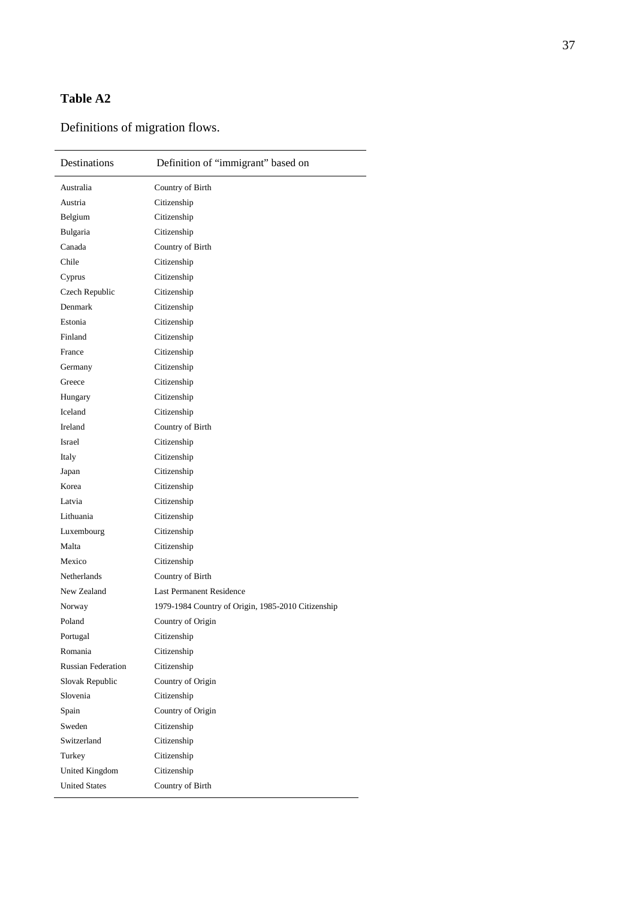## **Table A2**

# Definitions of migration flows.

| Destinations              | Definition of "immigrant" based on                 |
|---------------------------|----------------------------------------------------|
| Australia                 | Country of Birth                                   |
| Austria                   | Citizenship                                        |
| Belgium                   | Citizenship                                        |
| Bulgaria                  | Citizenship                                        |
| Canada                    | Country of Birth                                   |
| Chile                     | Citizenship                                        |
| Cyprus                    | Citizenship                                        |
| Czech Republic            | Citizenship                                        |
| Denmark                   | Citizenship                                        |
| Estonia                   | Citizenship                                        |
| Finland                   | Citizenship                                        |
| France                    | Citizenship                                        |
| Germany                   | Citizenship                                        |
| Greece                    | Citizenship                                        |
| Hungary                   | Citizenship                                        |
| Iceland                   | Citizenship                                        |
| Ireland                   | Country of Birth                                   |
| Israel                    | Citizenship                                        |
| Italy                     | Citizenship                                        |
| Japan                     | Citizenship                                        |
| Korea                     | Citizenship                                        |
| Latvia                    | Citizenship                                        |
| Lithuania                 | Citizenship                                        |
| Luxembourg                | Citizenship                                        |
| Malta                     | Citizenship                                        |
| Mexico                    | Citizenship                                        |
| <b>Netherlands</b>        | Country of Birth                                   |
| New Zealand               | <b>Last Permanent Residence</b>                    |
| Norway                    | 1979-1984 Country of Origin, 1985-2010 Citizenship |
| Poland                    | Country of Origin                                  |
| Portugal                  | Citizenship                                        |
| Romania                   | Citizenship                                        |
| <b>Russian Federation</b> | Citizenship                                        |
| Slovak Republic           | Country of Origin                                  |
| Slovenia                  | Citizenship                                        |
| Spain                     | Country of Origin                                  |
| Sweden                    | Citizenship                                        |
| Switzerland               | Citizenship                                        |
| Turkey                    | Citizenship                                        |
| United Kingdom            | Citizenship                                        |
| <b>United States</b>      | Country of Birth                                   |